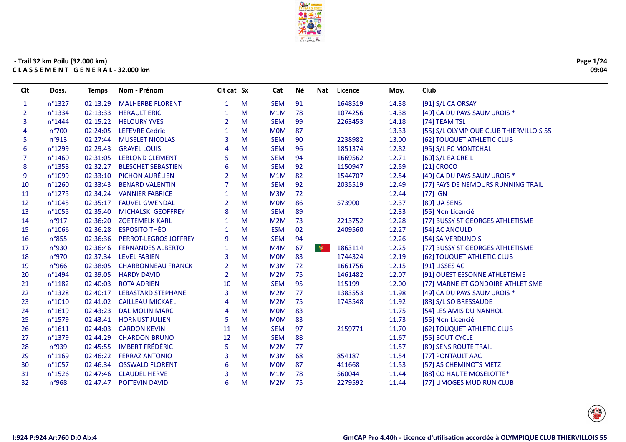

| Page 1/24 |
|-----------|
| 09:04     |

| <b>Clt</b>   | Doss.            | <b>Temps</b> | Nom - Prénom              | Clt cat Sx     |   | Cat        | Νé | <b>Nat</b> | Licence | Moy.  | Club                                    |
|--------------|------------------|--------------|---------------------------|----------------|---|------------|----|------------|---------|-------|-----------------------------------------|
| $\mathbf{1}$ | n°1327           | 02:13:29     | <b>MALHERBE FLORENT</b>   | $\mathbf{1}$   | M | <b>SEM</b> | 91 |            | 1648519 | 14.38 | [91] S/L CA ORSAY                       |
| 2            | n°1334           | 02:13:33     | <b>HERAULT ERIC</b>       | 1              | M | M1M        | 78 |            | 1074256 | 14.38 | [49] CA DU PAYS SAUMUROIS *             |
| 3            | n°1444           |              | 02:15:22 HELOURY YVES     | $\overline{2}$ | M | <b>SEM</b> | 99 |            | 2263453 | 14.18 | [74] TEAM TSL                           |
| 4            | n°700            | 02:24:05     | <b>LEFEVRE Cedric</b>     | -1             | M | <b>MOM</b> | 87 |            |         | 13.33 | [55] S/L OLYMPIQUE CLUB THIERVILLOIS 55 |
| 5            | n°913            | 02:27:44     | <b>MUSELET NICOLAS</b>    | 3              | м | <b>SEM</b> | 90 |            | 2238982 | 13.00 | [62] TOUQUET ATHLETIC CLUB              |
| 6            | n°1299           | 02:29:43     | <b>GRAYEL LOUIS</b>       |                | M | <b>SEM</b> | 96 |            | 1851374 | 12.82 | [95] S/L FC MONTCHAL                    |
| 7            | n°1460           | 02:31:05     | <b>LEBLOND CLEMENT</b>    | 5              | M | <b>SEM</b> | 94 |            | 1669562 | 12.71 | [60] S/L EA CREIL                       |
| 8            | n°1358           | 02:32:27     | <b>BLESCHET SEBASTIEN</b> | 6              | м | <b>SEM</b> | 92 |            | 1150947 | 12.59 | [21] CROCO                              |
| 9            | n°1099           | 02:33:10     | PICHON AURÉLIEN           | $\overline{2}$ | M | M1M        | 82 |            | 1544707 | 12.54 | [49] CA DU PAYS SAUMUROIS *             |
| 10           | n°1260           | 02:33:43     | <b>BENARD VALENTIN</b>    | $\overline{7}$ | M | <b>SEM</b> | 92 |            | 2035519 | 12.49 | [77] PAYS DE NEMOURS RUNNING TRAIL      |
| 11           | $n^{\circ}1275$  | 02:34:24     | <b>VANNIER FABRICE</b>    | -1             | м | M3M        | 72 |            |         | 12.44 | $[77]$ IGN                              |
| 12           | $n^{\circ}1045$  | 02:35:17     | <b>FAUVEL GWENDAL</b>     | $\overline{2}$ | M | <b>MOM</b> | 86 |            | 573900  | 12.37 | [89] UA SENS                            |
| 13           | n°1055           | 02:35:40     | <b>MICHALSKI GEOFFREY</b> | 8              | M | <b>SEM</b> | 89 |            |         | 12.33 | [55] Non Licencié                       |
| 14           | n°917            | 02:36:20     | <b>ZOETEMELK KARL</b>     | 1              | M | M2M        | 73 |            | 2213752 | 12.28 | [77] BUSSY ST GEORGES ATHLETISME        |
| 15           | n°1066           | 02:36:28     | <b>ESPOSITO THÉO</b>      | 1              | м | <b>ESM</b> | 02 |            | 2409560 | 12.27 | [54] AC ANOULD                          |
| 16           | n°855            | 02:36:36     | PERROT-LEGROS JOFFREY     | 9              | M | <b>SEM</b> | 94 |            |         | 12.26 | [54] SA VERDUNOIS                       |
| 17           | n°930            | 02:36:46     | <b>FERNANDES ALBERTO</b>  | $\mathbf 1$    | M | M4M        | 67 | $\bullet$  | 1863114 | 12.25 | [77] BUSSY ST GEORGES ATHLETISME        |
| 18           | n°970            |              | 02:37:34 LEVEL FABIEN     | 3              | M | <b>MOM</b> | 83 |            | 1744324 | 12.19 | [62] TOUQUET ATHLETIC CLUB              |
| 19           | n°966            | 02:38:05     | <b>CHARBONNEAU FRANCK</b> | $\overline{2}$ | M | M3M        | 72 |            | 1661756 | 12.15 | [91] LISSES AC                          |
| 20           | n°1494           | 02:39:05     | <b>HARDY DAVID</b>        | $\overline{2}$ | M | M2M        | 75 |            | 1461482 | 12.07 | [91] OUEST ESSONNE ATHLETISME           |
| 21           | n°1182           | 02:40:03     | <b>ROTA ADRIEN</b>        | 10             | M | <b>SEM</b> | 95 |            | 115199  | 12.00 | [77] MARNE ET GONDOIRE ATHLETISME       |
| 22           | n°1328           | 02:40:17     | <b>LEBASTARD STEPHANE</b> | $\overline{3}$ | M | M2M        | 77 |            | 1383553 | 11.98 | [49] CA DU PAYS SAUMUROIS *             |
| 23           | n°1010           |              | 02:41:02 CAILLEAU MICKAEL | $\overline{A}$ | M | M2M        | 75 |            | 1743548 | 11.92 | [88] S/L SO BRESSAUDE                   |
| 24           | n°1619           | 02:43:23     | <b>DAL MOLIN MARC</b>     | $\overline{4}$ | м | <b>MOM</b> | 83 |            |         | 11.75 | [54] LES AMIS DU NANHOL                 |
| 25           | n°1579           |              | 02:43:41 HORNUST JULIEN   | 5              | M | <b>MOM</b> | 83 |            |         | 11.73 | [55] Non Licencié                       |
| 26           | $n^{\circ}1611$  | 02:44:03     | <b>CARDON KEVIN</b>       | 11             | M | <b>SEM</b> | 97 |            | 2159771 | 11.70 | [62] TOUQUET ATHLETIC CLUB              |
| 27           | n°1379           | 02:44:29     | <b>CHARDON BRUNO</b>      | 12             | м | <b>SEM</b> | 88 |            |         | 11.67 | [55] BOUTICYCLE                         |
| 28           | n°939            | 02:45:55     | <b>IMBERT FRÉDÉRIC</b>    | 5              | M | M2M        | 77 |            |         | 11.57 | [89] SENS ROUTE TRAIL                   |
| 29           | n°1169           | 02:46:22     | <b>FERRAZ ANTONIO</b>     | 3              | M | M3M        | 68 |            | 854187  | 11.54 | [77] PONTAULT AAC                       |
| 30           | n°1057           | 02:46:34     | <b>OSSWALD FLORENT</b>    | 6              | M | <b>MOM</b> | 87 |            | 411668  | 11.53 | [57] AS CHEMINOTS METZ                  |
| 31           | $n^{\circ}$ 1526 | 02:47:46     | <b>CLAUDEL HERVE</b>      | 3              | м | M1M        | 78 |            | 560044  | 11.44 | [88] CO HAUTE MOSELOTTE*                |
| 32           | n°968            | 02:47:47     | POITEVIN DAVID            | 6              | М | M2M        | 75 |            | 2279592 | 11.44 | [77] LIMOGES MUD RUN CLUB               |

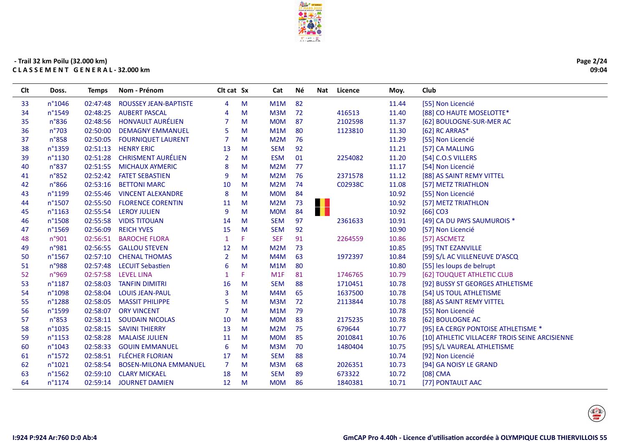

L.

| <b>Clt</b> | Doss.            | <b>Temps</b> | Nom - Prénom                 | Clt cat Sx     |    | Cat              | Νé | Nat | Licence | Moy.  | Club                                           |
|------------|------------------|--------------|------------------------------|----------------|----|------------------|----|-----|---------|-------|------------------------------------------------|
| 33         | n°1046           | 02:47:48     | ROUSSEY JEAN-BAPTISTE        | 4              | M  | M1M              | 82 |     |         | 11.44 | [55] Non Licencié                              |
| 34         | n°1549           | 02:48:25     | <b>AUBERT PASCAL</b>         | 4              | M  | M <sub>3</sub> M | 72 |     | 416513  | 11.40 | [88] CO HAUTE MOSELOTTE*                       |
| 35         | n°836            | 02:48:56     | <b>HONVAULT AURÉLIEN</b>     | 7              | M  | <b>MOM</b>       | 87 |     | 2102598 | 11.37 | [62] BOULOGNE-SUR-MER AC                       |
| 36         | $n^{\circ}703$   | 02:50:00     | <b>DEMAGNY EMMANUEL</b>      | 5              | M  | M1M              | 80 |     | 1123810 | 11.30 | [62] RC ARRAS*                                 |
| 37         | n°858            | 02:50:05     | <b>FOURNIQUET LAURENT</b>    | 7              | M  | M2M              | 76 |     |         | 11.29 | [55] Non Licencié                              |
| 38         | n°1359           | 02:51:13     | <b>HENRY ERIC</b>            | 13             | M  | <b>SEM</b>       | 92 |     |         | 11.21 | [57] CA MALLING                                |
| 39         | n°1130           | 02:51:28     | <b>CHRISMENT AURÉLIEN</b>    | $\overline{2}$ | M  | <b>ESM</b>       | 01 |     | 2254082 | 11.20 | [54] C.O.S VILLERS                             |
| 40         | n°837            | 02:51:55     | <b>MICHAUX AYMERIC</b>       | 8              | M  | M2M              | 77 |     |         | 11.17 | [54] Non Licencié                              |
| 41         | $n^{\circ}852$   | 02:52:42     | <b>FATET SEBASTIEN</b>       | 9              | M  | M2M              | 76 |     | 2371578 | 11.12 | [88] AS SAINT REMY VITTEL                      |
| 42         | n°866            | 02:53:16     | <b>BETTONI MARC</b>          | 10             | M  | M2M              | 74 |     | C02938C | 11.08 | [57] METZ TRIATHLON                            |
| 43         | n°1199           | 02:55:46     | <b>VINCENT ALEXANDRE</b>     | 8              | M  | <b>MOM</b>       | 84 |     |         | 10.92 | [55] Non Licencié                              |
| 44         | $n^{\circ}$ 1507 | 02:55:50     | <b>FLORENCE CORENTIN</b>     | 11             | M  | M2M              | 73 | . . |         | 10.92 | [57] METZ TRIATHLON                            |
| 45         | $n^{\circ}1163$  | 02:55:54     | <b>LEROY JULIEN</b>          | 9              | M  | <b>MOM</b>       | 84 | H   |         | 10.92 | $[66]$ CO <sub>3</sub>                         |
| 46         | n°1508           | 02:55:58     | <b>VIDIS TITOUAN</b>         | 14             | M  | <b>SEM</b>       | 97 |     | 2361633 | 10.91 | [49] CA DU PAYS SAUMUROIS *                    |
| 47         | n°1569           | 02:56:09     | <b>REICH YVES</b>            | 15             | M  | <b>SEM</b>       | 92 |     |         | 10.90 | [57] Non Licencié                              |
| 48         | n°901            | 02:56:51     | <b>BAROCHE FLORA</b>         | $\mathbf{1}$   | F  | <b>SEF</b>       | 91 |     | 2264559 | 10.86 | [57] ASCMETZ                                   |
| 49         | n°981            | 02:56:55     | <b>GALLOU STEVEN</b>         | 12             | M  | M2M              | 73 |     |         | 10.85 | [95] TNT EZANVILLE                             |
| 50         | n°1567           | 02:57:10     | <b>CHENAL THOMAS</b>         | $\overline{2}$ | M  | M4M              | 63 |     | 1972397 | 10.84 | [59] S/L AC VILLENEUVE D'ASCQ                  |
| 51         | n°988            | 02:57:48     | <b>LECUIT Sebastien</b>      | 6              | M  | M1M              | 80 |     |         | 10.80 | [55] les loups de belrupt                      |
| 52         | n°969            | 02:57:58     | <b>LEVEL LINA</b>            |                | F. | M1F              | 81 |     | 1746765 | 10.79 | [62] TOUQUET ATHLETIC CLUB                     |
| 53         | n°1187           | 02:58:03     | <b>TANFIN DIMITRI</b>        | 16             | M  | <b>SEM</b>       | 88 |     | 1710451 | 10.78 | [92] BUSSY ST GEORGES ATHLETISME               |
| 54         | n°1098           | 02:58:04     | <b>LOUIS JEAN-PAUL</b>       | 3              | M  | M4M              | 65 |     | 1637500 | 10.78 | [54] US TOUL ATHLETISME                        |
| 55         | $n^{\circ}1288$  | 02:58:05     | <b>MASSIT PHILIPPE</b>       | 5              | M  | M <sub>3</sub> M | 72 |     | 2113844 | 10.78 | [88] AS SAINT REMY VITTEL                      |
| 56         | n°1599           | 02:58:07     | <b>ORY VINCENT</b>           |                | M  | M1M              | 79 |     |         | 10.78 | [55] Non Licencié                              |
| 57         | n°853            | 02:58:11     | <b>SOUDAIN NICOLAS</b>       | 10             | M  | <b>MOM</b>       | 83 |     | 2175235 | 10.78 | [62] BOULOGNE AC                               |
| 58         | $n^{\circ}1035$  | 02:58:15     | <b>SAVINI THIERRY</b>        | 13             | M  | M2M              | 75 |     | 679644  | 10.77 | [95] EA CERGY PONTOISE ATHLETISME *            |
| 59         | $n^{\circ}1153$  | 02:58:28     | <b>MALAISE JULIEN</b>        | 11             | M  | <b>MOM</b>       | 85 |     | 2010841 | 10.76 | [10] ATHLETIC VILLACERF TROIS SEINE ARCISIENNE |
| 60         | n°1043           | 02:58:33     | <b>GOUIN EMMANUEL</b>        | 6              | M  | M <sub>3</sub> M | 70 |     | 1480404 | 10.75 | [95] S/L VAUREAL ATHLETISME                    |
| 61         | n°1572           | 02:58:51     | <b>FLÉCHER FLORIAN</b>       | 17             | M  | <b>SEM</b>       | 88 |     |         | 10.74 | [92] Non Licencié                              |
| 62         | n°1021           | 02:58:54     | <b>BOSEN-MILONA EMMANUEL</b> | $\overline{7}$ | M  | M3M              | 68 |     | 2026351 | 10.73 | [94] GA NOISY LE GRAND                         |
| 63         | $n^{\circ}$ 1562 | 02:59:10     | <b>CLARY MICKAEL</b>         | 18             | M  | <b>SEM</b>       | 89 |     | 673322  | 10.72 | $[08]$ CMA                                     |
| 64         | $n^{\circ}1174$  | 02:59:14     | <b>JOURNET DAMIEN</b>        | 12             | M  | <b>MOM</b>       | 86 |     | 1840381 | 10.71 | [77] PONTAULT AAC                              |
|            |                  |              |                              |                |    |                  |    |     |         |       |                                                |

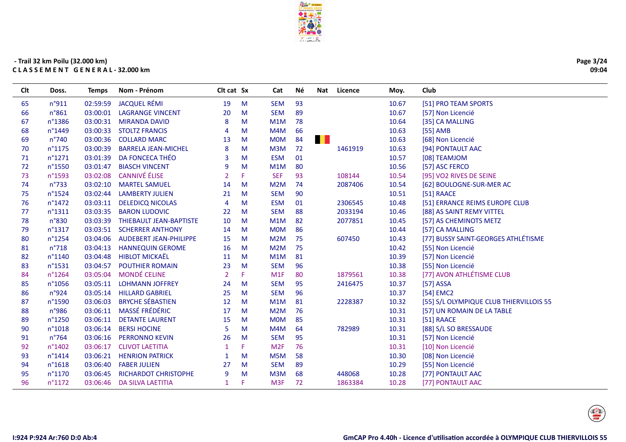

| Page 3/24 |
|-----------|
| 09:04     |

| <b>Clt</b> | Doss.            | <b>Temps</b> | Nom - Prénom                   | Clt cat Sx     |    | Cat              | Né | Nat          | Licence | Moy.  | Club                                    |
|------------|------------------|--------------|--------------------------------|----------------|----|------------------|----|--------------|---------|-------|-----------------------------------------|
| 65         | n°911            | 02:59:59     | <b>JACQUEL RÉMI</b>            | 19             | M  | <b>SEM</b>       | 93 |              |         | 10.67 | [51] PRO TEAM SPORTS                    |
| 66         | n°861            | 03:00:01     | <b>LAGRANGE VINCENT</b>        | 20             | M  | <b>SEM</b>       | 89 |              |         | 10.67 | [57] Non Licencié                       |
| 67         | n°1386           | 03:00:31     | <b>MIRANDA DAVID</b>           | 8              | M  | M1M              | 78 |              |         | 10.64 | [35] CA MALLING                         |
| 68         | n°1449           | 03:00:33     | <b>STOLTZ FRANCIS</b>          | $\overline{4}$ | M  | M4M              | 66 |              |         | 10.63 | [55] AMB                                |
| 69         | $n^{\circ}740$   | 03:00:36     | <b>COLLARD MARC</b>            | 13             | M  | <b>MOM</b>       | 84 | <b>THE R</b> |         | 10.63 | [68] Non Licencié                       |
| 70         | n°1175           | 03:00:39     | <b>BARRELA JEAN-MICHEL</b>     | 8              | M  | M <sub>3</sub> M | 72 |              | 1461919 | 10.63 | [94] PONTAULT AAC                       |
| 71         | n°1271           | 03:01:39     | DA FONCECA THÉO                | 3              | M  | <b>ESM</b>       | 01 |              |         | 10.57 | [08] TEAMJOM                            |
| 72         | n°1550           | 03:01:47     | <b>BIASCH VINCENT</b>          | 9              | M  | M1M              | 80 |              |         | 10.56 | [57] ASC FERCO                          |
| 73         | n°1593           | 03:02:08     | <b>CANNIVÉ ÉLISE</b>           | $\overline{2}$ | F. | <b>SEF</b>       | 93 |              | 108144  | 10.54 | [95] VO2 RIVES DE SEINE                 |
| 74         | n°733            | 03:02:10     | <b>MARTEL SAMUEL</b>           | 14             | M  | M <sub>2</sub> M | 74 |              | 2087406 | 10.54 | [62] BOULOGNE-SUR-MER AC                |
| 75         | n°1524           | 03:02:44     | <b>LAMBERTY JULIEN</b>         | 21             | M  | <b>SEM</b>       | 90 |              |         | 10.51 | $[51]$ RAACE                            |
| 76         | $n^{\circ}$ 1472 | 03:03:11     | <b>DELEDICQ NICOLAS</b>        | $\overline{4}$ | M  | <b>ESM</b>       | 01 |              | 2306545 | 10.48 | [51] ERRANCE REIMS EUROPE CLUB          |
| 77         | n°1311           | 03:03:35     | <b>BARON LUDOVIC</b>           | 22             | M  | <b>SEM</b>       | 88 |              | 2033194 | 10.46 | [88] AS SAINT REMY VITTEL               |
| 78         | n°830            | 03:03:39     | <b>THIEBAULT JEAN-BAPTISTE</b> | 10             | M  | M1M              | 82 |              | 2077851 | 10.45 | [57] AS CHEMINOTS METZ                  |
| 79         | $n^{\circ}$ 1317 | 03:03:51     | <b>SCHERRER ANTHONY</b>        | 14             | M  | <b>MOM</b>       | 86 |              |         | 10.44 | [57] CA MALLING                         |
| 80         | n°1254           | 03:04:06     | <b>AUDEBERT JEAN-PHILIPPE</b>  | 15             | M  | M2M              | 75 |              | 607450  | 10.43 | [77] BUSSY SAINT-GEORGES ATHLÉTISME     |
| 81         | n°718            | 03:04:13     | <b>HANNEQUIN GEROME</b>        | 16             | M  | M <sub>2</sub> M | 75 |              |         | 10.42 | [55] Non Licencié                       |
| 82         | n°1140           | 03:04:48     | <b>HIBLOT MICKAËL</b>          | 11             | M  | M1M              | 81 |              |         | 10.39 | [57] Non Licencié                       |
| 83         | n°1531           | 03:04:57     | <b>POUTHIER ROMAIN</b>         | 23             | M  | <b>SEM</b>       | 96 |              |         | 10.38 | [55] Non Licencié                       |
| 84         | n°1264           | 03:05:04     | <b>MONDÉ CELINE</b>            | $\overline{2}$ | F. | M <sub>1F</sub>  | 80 |              | 1879561 | 10.38 | [77] AVON ATHLÉTISME CLUB               |
| 85         | n°1056           | 03:05:11     | <b>LOHMANN JOFFREY</b>         | 24             | M  | <b>SEM</b>       | 95 |              | 2416475 | 10.37 | [57] ASSA                               |
| 86         | n°924            | 03:05:14     | <b>HILLARD GABRIEL</b>         | 25             | M  | <b>SEM</b>       | 96 |              |         | 10.37 | [54] EMC2                               |
| 87         | n°1590           | 03:06:03     | <b>BRYCHE SÉBASTIEN</b>        | 12             | M  | M1M              | 81 |              | 2228387 | 10.32 | [55] S/L OLYMPIQUE CLUB THIERVILLOIS 55 |
| 88         | n°986            | 03:06:11     | <b>MASSÉ FRÉDÉRIC</b>          | 17             | M  | M <sub>2</sub> M | 76 |              |         | 10.31 | [57] UN ROMAIN DE LA TABLE              |
| 89         | n°1250           | 03:06:11     | <b>DETANTE LAURENT</b>         | 15             | M  | <b>MOM</b>       | 85 |              |         | 10.31 | [51] RAACE                              |
| 90         | n°1018           | 03:06:14     | <b>BERSI HOCINE</b>            | 5              | M  | M4M              | 64 |              | 782989  | 10.31 | [88] S/L SO BRESSAUDE                   |
| 91         | $n^{\circ}764$   | 03:06:16     | <b>PERRONNO KEVIN</b>          | 26             | M  | <b>SEM</b>       | 95 |              |         | 10.31 | [57] Non Licencié                       |
| 92         | n°1402           | 03:06:17     | <b>CLIVOT LAETITIA</b>         | 1              | F  | M <sub>2F</sub>  | 76 |              |         | 10.31 | [10] Non Licencié                       |
| 93         | n°1414           | 03:06:21     | <b>HENRION PATRICK</b>         |                | M  | M5M              | 58 |              |         | 10.30 | [08] Non Licencié                       |
| 94         | n°1618           | 03:06:40     | <b>FABER JULIEN</b>            | 27             | M  | <b>SEM</b>       | 89 |              |         | 10.29 | [55] Non Licencié                       |
| 95         | n°1170           | 03:06:45     | RICHARDOT CHRISTOPHE           | 9              | M  | M <sub>3</sub> M | 68 |              | 448068  | 10.28 | [77] PONTAULT AAC                       |
| 96         | $n^{\circ}1172$  | 03:06:46     | <b>DA SILVA LAETITIA</b>       | 1              | F. | M <sub>3F</sub>  | 72 |              | 1863384 | 10.28 | [77] PONTAULT AAC                       |

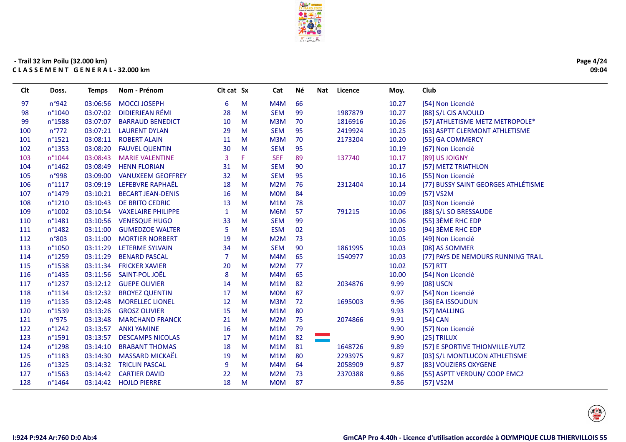

Cat

Né

Nat Licence

Moy.

Club

Clt cat Sx

#### - Trail 32 km Poilu (32.000 km) CLASSEMENT GENERAL-32.000 km

Doss.

**Temps** 

Nom - Prénom

**Clt** 

| 97  | n°942            | 03:06:56 | <b>MOCCI JOSEPH</b>        | 6              | M  | M4M              | 66 |         | 10.27 | [54] Non Licencié                   |
|-----|------------------|----------|----------------------------|----------------|----|------------------|----|---------|-------|-------------------------------------|
| 98  | n°1040           | 03:07:02 | DIDIERJEAN RÉMI            | 28             | M  | <b>SEM</b>       | 99 | 1987879 | 10.27 | [88] S/L CIS ANOULD                 |
| 99  | n°1588           | 03:07:07 | <b>BARRAUD BENEDICT</b>    | 10             | M  | M <sub>3</sub> M | 70 | 1816916 | 10.26 | [57] ATHLETISME METZ METROPOLE*     |
| 100 | $n^{\circ}772$   |          | 03:07:21 LAURENT DYLAN     | 29             | M  | <b>SEM</b>       | 95 | 2419924 | 10.25 | [63] ASPTT CLERMONT ATHLETISME      |
| 101 | n°1521           | 03:08:11 | <b>ROBERT ALAIN</b>        | 11             | M  | M3M              | 70 | 2173204 | 10.20 | [55] GA COMMERCY                    |
| 102 | $n^{\circ}$ 1353 | 03:08:20 | <b>FAUVEL QUENTIN</b>      | 30             | M  | <b>SEM</b>       | 95 |         | 10.19 | [67] Non Licencié                   |
| 103 | n°1044           | 03:08:43 | <b>MARIE VALENTINE</b>     | 3              | F. | <b>SEF</b>       | 89 | 137740  | 10.17 | [89] US JOIGNY                      |
| 104 | $n^{\circ}$ 1462 | 03:08:49 | <b>HENN FLORIAN</b>        | 31             | M  | <b>SEM</b>       | 90 |         | 10.17 | [57] METZ TRIATHLON                 |
| 105 | n°998            | 03:09:00 | <b>VANUXEEM GEOFFREY</b>   | 32             | M  | <b>SEM</b>       | 95 |         | 10.16 | [55] Non Licencié                   |
| 106 | $n^{\circ}1117$  | 03:09:19 | LEFEBVRE RAPHAËL           | 18             | M  | M <sub>2</sub> M | 76 | 2312404 | 10.14 | [77] BUSSY SAINT GEORGES ATHLÉTISME |
| 107 | n°1479           |          | 03:10:21 BECART JEAN-DENIS | 16             | M  | <b>MOM</b>       | 84 |         | 10.09 | [57] VS2M                           |
| 108 | $n^{\circ}1210$  | 03:10:43 | DE BRITO CEDRIC            | 13             | M  | M <sub>1</sub> M | 78 |         | 10.07 | [03] Non Licencié                   |
| 109 | $n^{\circ}1002$  | 03:10:54 | <b>VAXELAIRE PHILIPPE</b>  | 1              | м  | M6M              | 57 | 791215  | 10.06 | [88] S/L SO BRESSAUDE               |
| 110 | $n^{\circ}$ 1481 | 03:10:56 | <b>VENESQUE HUGO</b>       | 33             | M  | <b>SEM</b>       | 99 |         | 10.06 | [55] 3ÈME RHC EDP                   |
| 111 | n°1482           | 03:11:00 | <b>GUMEDZOE WALTER</b>     | 5              | M  | <b>ESM</b>       | 02 |         | 10.05 | [94] 3ÈME RHC EDP                   |
| 112 | n°803            | 03:11:00 | <b>MORTIER NORBERT</b>     | 19             | M  | M <sub>2</sub> M | 73 |         | 10.05 | [49] Non Licencié                   |
| 113 | n°1050           | 03:11:29 | LETERME SYLVAIN            | 34             | M  | <b>SEM</b>       | 90 | 1861995 | 10.03 | [08] AS SOMMER                      |
| 114 | n°1259           | 03:11:29 | <b>BENARD PASCAL</b>       | $\overline{7}$ | M  | M <sub>4</sub> M | 65 | 1540977 | 10.03 | [77] PAYS DE NEMOURS RUNNING TRAIL  |
| 115 | n°1538           | 03:11:34 | <b>FRICKER XAVIER</b>      | 20             | M  | M <sub>2</sub> M | 77 |         | 10.02 | [57] RTT                            |
| 116 | $n^{\circ}$ 1435 | 03:11:56 | SAINT-POL JOËL             | 8              | M  | M4M              | 65 |         | 10.00 | [54] Non Licencié                   |
| 117 | n°1237           | 03:12:12 | <b>GUEPE OLIVIER</b>       | 14             | M  | M1M              | 82 | 2034876 | 9.99  | [08] USCN                           |
| 118 | n°1134           | 03:12:32 | <b>BROYEZ QUENTIN</b>      | 17             | M  | <b>MOM</b>       | 87 |         | 9.97  | [54] Non Licencié                   |
| 119 | $n^{\circ}1135$  | 03:12:48 | <b>MORELLEC LIONEL</b>     | 12             | M  | M3M              | 72 | 1695003 | 9.96  | [36] EA ISSOUDUN                    |
| 120 | n°1539           | 03:13:26 | <b>GROSZ OLIVIER</b>       | 15             | M  | M <sub>1</sub> M | 80 |         | 9.93  | [57] MALLING                        |
| 121 | n°975            | 03:13:48 | <b>MARCHAND FRANCK</b>     | 21             | M  | M2M              | 75 | 2074866 | 9.91  | [54] CAN                            |
| 122 | $n^{\circ}1242$  | 03:13:57 | <b>ANKI YAMINE</b>         | 16             | M  | M <sub>1</sub> M | 79 |         | 9.90  | [57] Non Licencié                   |
| 123 | n°1591           | 03:13:57 | <b>DESCAMPS NICOLAS</b>    | 17             | M  | M1M              | 82 |         | 9.90  | [25] TRILUX                         |
| 124 | n°1298           | 03:14:10 | <b>BRABANT THOMAS</b>      | 18             | M  | M1M              | 81 | 1648726 | 9.89  | [57] E SPORTIVE THIONVILLE-YUTZ     |
| 125 | n°1183           | 03:14:30 | MASSARD MICKAËL            | 19             | M  | M1M              | 80 | 2293975 | 9.87  | [03] S/L MONTLUCON ATHLETISME       |
| 126 | n°1325           | 03:14:32 | <b>TRICLIN PASCAL</b>      | 9              | M  | M4M              | 64 | 2058909 | 9.87  | [83] VOUZIERS OXYGENE               |
| 127 | $n^{\circ}$ 1563 | 03:14:42 | <b>CARTIER DAVID</b>       | 22             | M  | M <sub>2</sub> M | 73 | 2370388 | 9.86  | [55] ASPTT VERDUN/ COOP EMC2        |
| 128 | n°1464           | 03:14:42 | <b>HOJLO PIERRE</b>        | 18             | M  | <b>MOM</b>       | 87 |         | 9.86  | [57] VS2M                           |
|     |                  |          |                            |                |    |                  |    |         |       |                                     |



 $\begin{pmatrix} \frac{1}{\sqrt{2}} \\ \frac{1}{\sqrt{2}} \\ \frac{1}{\sqrt{2}} \\ \frac{1}{\sqrt{2}} \\ \frac{1}{\sqrt{2}} \end{pmatrix}$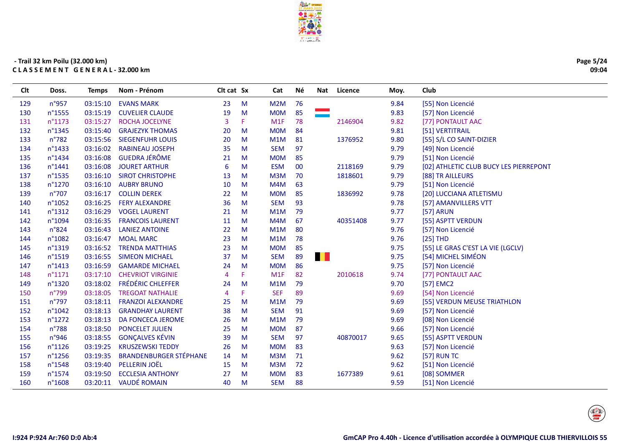

| 76<br>n°957<br>03:15:10<br><b>EVANS MARK</b><br>23<br>M<br>M <sub>2</sub> M<br>9.84<br>[55] Non Licencié<br>85<br>n°1555<br>19<br>M<br><b>MOM</b><br>9.83<br>03:15:19<br><b>CUVELIER CLAUDE</b><br>[57] Non Licencié<br>n°1173<br>F.<br>78<br>03:15:27<br><b>ROCHA JOCELYNE</b><br>3<br>M1F<br>2146904<br>9.82<br>[77] PONTAULT AAC<br>n°1345<br>84<br>03:15:40<br><b>GRAJEZYK THOMAS</b><br>M<br><b>MOM</b><br>9.81<br>[51] VERTITRAIL<br>20<br>n°782<br>[55] S/L CO SAINT-DIZIER<br>03:15:56<br><b>SIEGENFUHR LOUIS</b><br>20<br>M<br>M1M<br>81<br>1376952<br>9.80<br>97<br>n°1433<br>03:16:02<br><b>RABINEAU JOSEPH</b><br>35<br>M<br><b>SEM</b><br>9.79<br>[49] Non Licencié<br><b>GUEDRA JÉRÔME</b><br>n°1434<br>03:16:08<br><b>MOM</b><br>85<br>9.79<br>[51] Non Licencié<br>21<br>M<br>$n^{\circ}$ 1441<br>03:16:08<br><b>JOURET ARTHUR</b><br><b>ESM</b><br>$00\,$<br>9.79<br>[02] ATHLETIC CLUB BUCY LES PIERREPONT<br>6<br>M<br>2118169<br>n°1535<br>03:16:10<br><b>SIROT CHRISTOPHE</b><br>M<br>M3M<br>70<br>9.79<br>13<br>1818601<br>[88] TR AILLEURS<br>n°1270<br><b>AUBRY BRUNO</b><br>M4M<br>63<br>03:16:10<br>10<br>M<br>9.79<br>[51] Non Licencié<br>$n^{\circ}707$<br>22<br>M<br><b>MOM</b><br>85<br>9.78<br>03:16:17<br><b>COLLIN DEREK</b><br>1836992<br>[20] LUCCIANA ATLETISMU<br>n°1052<br>03:16:25<br>36<br>M<br><b>SEM</b><br>93<br>9.78<br><b>FERY ALEXANDRE</b><br>[57] AMANVILLERS VTT<br>n°1312<br>03:16:29<br>M1M<br>79<br>9.77<br><b>[57] ARUN</b><br><b>VOGEL LAURENT</b><br>21<br>M<br>n°1094<br>M<br>M4M<br>67<br>9.77<br>03:16:35<br><b>FRANCOIS LAURENT</b><br>11<br>40351408<br>[55] ASPTT VERDUN<br>n°824<br><b>LANIEZ ANTOINE</b><br>M<br>M1M<br>80<br>9.76<br>[57] Non Licencié<br>03:16:43<br>22<br>78<br>$[25]$ THD<br>n°1082<br>03:16:47<br><b>MOAL MARC</b><br>23<br>M<br>M1M<br>9.76<br>[55] LE GRAS C'EST LA VIE (LGCLV)<br>$n^{\circ}$ 1319<br>03:16:52<br><b>TRENDA MATTHIAS</b><br>23<br>M<br><b>MOM</b><br>85<br>9.75<br>. .<br>89<br>[54] MICHEL SIMÉON<br><b>SEM</b><br>9.75<br>n°1519<br>03:16:55<br><b>SIMEON MICHAEL</b><br>37<br>M<br>86<br>$n^{\circ}$ 1413<br>03:16:59<br><b>GAMARDE MICHAEL</b><br>M<br><b>MOM</b><br>9.75<br>[57] Non Licencié<br>24<br>$n^{\circ}1171$<br>F.<br>M1F<br>82<br>9.74<br>03:17:10<br><b>CHEVRIOT VIRGINIE</b><br>2010618<br>[77] PONTAULT AAC<br>4<br><b>FRÉDÉRIC CHLEFFER</b><br>n°1320<br>03:18:02<br>M<br>79<br>9.70<br>[57] EMC2<br>24<br>M1M<br>n°799<br>03:18:05<br><b>TREGOAT NATHALIE</b><br>F.<br><b>SEF</b><br>89<br>9.69<br>[54] Non Licencié<br>4<br>$n^{\circ}797$<br>03:18:11<br>M1M<br>79<br>9.69<br>[55] VERDUN MEUSE TRIATHLON<br><b>FRANZOI ALEXANDRE</b><br>25<br>M<br>91<br>n°1042<br>03:18:13<br><b>GRANDHAY LAURENT</b><br>38<br>M<br><b>SEM</b><br>9.69<br>[57] Non Licencié<br>79<br>n°1272<br>03:18:13<br>DA FONCECA JEROME<br>M<br>M1M<br>9.69<br>[08] Non Licencié<br>26<br>n°788<br><b>PONCELET JULIEN</b><br>M<br>87<br>03:18:50<br>25<br><b>MOM</b><br>9.66<br>[57] Non Licencié<br><b>GONÇALVES KÉVIN</b><br>n°946<br>97<br>03:18:55<br>39<br>M<br><b>SEM</b><br>40870017<br>9.65<br>[55] ASPTT VERDUN<br>03:19:25<br><b>KRUSZEWSKI TEDDY</b><br>83<br>9.63<br>$n^{\circ}1126$<br>26<br>M<br><b>MOM</b><br>[57] Non Licencié<br><b>BRANDENBURGER STÉPHANE</b><br>n°1256<br>03:19:35<br>M<br>71<br>14<br>M3M<br>9.62<br>[57] RUN TC<br>PELLERIN JOËL<br>72<br>n°1548<br>03:19:40<br>M<br>M3M<br>9.62<br>15<br>[51] Non Licencié<br>n°1574<br>03:19:50<br><b>ECCLESIA ANTHONY</b><br>27<br>M<br><b>MOM</b><br>83<br>1677389<br>9.61<br>[08] SOMMER<br><b>VAUDÉ ROMAIN</b><br>$n^{\circ}1608$<br>03:20:11<br>40<br><b>SEM</b><br>88<br>9.59<br>160<br>M<br>[51] Non Licencié | <b>Clt</b> | Doss. | <b>Temps</b> | Nom - Prénom | Clt cat Sx | Cat | Né | Nat | Licence | Moy. | Club |
|---------------------------------------------------------------------------------------------------------------------------------------------------------------------------------------------------------------------------------------------------------------------------------------------------------------------------------------------------------------------------------------------------------------------------------------------------------------------------------------------------------------------------------------------------------------------------------------------------------------------------------------------------------------------------------------------------------------------------------------------------------------------------------------------------------------------------------------------------------------------------------------------------------------------------------------------------------------------------------------------------------------------------------------------------------------------------------------------------------------------------------------------------------------------------------------------------------------------------------------------------------------------------------------------------------------------------------------------------------------------------------------------------------------------------------------------------------------------------------------------------------------------------------------------------------------------------------------------------------------------------------------------------------------------------------------------------------------------------------------------------------------------------------------------------------------------------------------------------------------------------------------------------------------------------------------------------------------------------------------------------------------------------------------------------------------------------------------------------------------------------------------------------------------------------------------------------------------------------------------------------------------------------------------------------------------------------------------------------------------------------------------------------------------------------------------------------------------------------------------------------------------------------------------------------------------------------------------------------------------------------------------------------------------------------------------------------------------------------------------------------------------------------------------------------------------------------------------------------------------------------------------------------------------------------------------------------------------------------------------------------------------------------------------------------------------------------------------------------------------------------------------------------------------------------------------------------------------------------------------------------------------------------------------------------------------------------------------------------------------------------------------------------------------------------------------------------------------------------------------------------------------------------------------------------------------------------------------------------------------------------------------------------------------------------------------------------|------------|-------|--------------|--------------|------------|-----|----|-----|---------|------|------|
|                                                                                                                                                                                                                                                                                                                                                                                                                                                                                                                                                                                                                                                                                                                                                                                                                                                                                                                                                                                                                                                                                                                                                                                                                                                                                                                                                                                                                                                                                                                                                                                                                                                                                                                                                                                                                                                                                                                                                                                                                                                                                                                                                                                                                                                                                                                                                                                                                                                                                                                                                                                                                                                                                                                                                                                                                                                                                                                                                                                                                                                                                                                                                                                                                                                                                                                                                                                                                                                                                                                                                                                                                                                                                                   | 129        |       |              |              |            |     |    |     |         |      |      |
|                                                                                                                                                                                                                                                                                                                                                                                                                                                                                                                                                                                                                                                                                                                                                                                                                                                                                                                                                                                                                                                                                                                                                                                                                                                                                                                                                                                                                                                                                                                                                                                                                                                                                                                                                                                                                                                                                                                                                                                                                                                                                                                                                                                                                                                                                                                                                                                                                                                                                                                                                                                                                                                                                                                                                                                                                                                                                                                                                                                                                                                                                                                                                                                                                                                                                                                                                                                                                                                                                                                                                                                                                                                                                                   | 130        |       |              |              |            |     |    |     |         |      |      |
|                                                                                                                                                                                                                                                                                                                                                                                                                                                                                                                                                                                                                                                                                                                                                                                                                                                                                                                                                                                                                                                                                                                                                                                                                                                                                                                                                                                                                                                                                                                                                                                                                                                                                                                                                                                                                                                                                                                                                                                                                                                                                                                                                                                                                                                                                                                                                                                                                                                                                                                                                                                                                                                                                                                                                                                                                                                                                                                                                                                                                                                                                                                                                                                                                                                                                                                                                                                                                                                                                                                                                                                                                                                                                                   | 131        |       |              |              |            |     |    |     |         |      |      |
|                                                                                                                                                                                                                                                                                                                                                                                                                                                                                                                                                                                                                                                                                                                                                                                                                                                                                                                                                                                                                                                                                                                                                                                                                                                                                                                                                                                                                                                                                                                                                                                                                                                                                                                                                                                                                                                                                                                                                                                                                                                                                                                                                                                                                                                                                                                                                                                                                                                                                                                                                                                                                                                                                                                                                                                                                                                                                                                                                                                                                                                                                                                                                                                                                                                                                                                                                                                                                                                                                                                                                                                                                                                                                                   | 132        |       |              |              |            |     |    |     |         |      |      |
|                                                                                                                                                                                                                                                                                                                                                                                                                                                                                                                                                                                                                                                                                                                                                                                                                                                                                                                                                                                                                                                                                                                                                                                                                                                                                                                                                                                                                                                                                                                                                                                                                                                                                                                                                                                                                                                                                                                                                                                                                                                                                                                                                                                                                                                                                                                                                                                                                                                                                                                                                                                                                                                                                                                                                                                                                                                                                                                                                                                                                                                                                                                                                                                                                                                                                                                                                                                                                                                                                                                                                                                                                                                                                                   | 133        |       |              |              |            |     |    |     |         |      |      |
|                                                                                                                                                                                                                                                                                                                                                                                                                                                                                                                                                                                                                                                                                                                                                                                                                                                                                                                                                                                                                                                                                                                                                                                                                                                                                                                                                                                                                                                                                                                                                                                                                                                                                                                                                                                                                                                                                                                                                                                                                                                                                                                                                                                                                                                                                                                                                                                                                                                                                                                                                                                                                                                                                                                                                                                                                                                                                                                                                                                                                                                                                                                                                                                                                                                                                                                                                                                                                                                                                                                                                                                                                                                                                                   | 134        |       |              |              |            |     |    |     |         |      |      |
|                                                                                                                                                                                                                                                                                                                                                                                                                                                                                                                                                                                                                                                                                                                                                                                                                                                                                                                                                                                                                                                                                                                                                                                                                                                                                                                                                                                                                                                                                                                                                                                                                                                                                                                                                                                                                                                                                                                                                                                                                                                                                                                                                                                                                                                                                                                                                                                                                                                                                                                                                                                                                                                                                                                                                                                                                                                                                                                                                                                                                                                                                                                                                                                                                                                                                                                                                                                                                                                                                                                                                                                                                                                                                                   | 135        |       |              |              |            |     |    |     |         |      |      |
|                                                                                                                                                                                                                                                                                                                                                                                                                                                                                                                                                                                                                                                                                                                                                                                                                                                                                                                                                                                                                                                                                                                                                                                                                                                                                                                                                                                                                                                                                                                                                                                                                                                                                                                                                                                                                                                                                                                                                                                                                                                                                                                                                                                                                                                                                                                                                                                                                                                                                                                                                                                                                                                                                                                                                                                                                                                                                                                                                                                                                                                                                                                                                                                                                                                                                                                                                                                                                                                                                                                                                                                                                                                                                                   | 136        |       |              |              |            |     |    |     |         |      |      |
|                                                                                                                                                                                                                                                                                                                                                                                                                                                                                                                                                                                                                                                                                                                                                                                                                                                                                                                                                                                                                                                                                                                                                                                                                                                                                                                                                                                                                                                                                                                                                                                                                                                                                                                                                                                                                                                                                                                                                                                                                                                                                                                                                                                                                                                                                                                                                                                                                                                                                                                                                                                                                                                                                                                                                                                                                                                                                                                                                                                                                                                                                                                                                                                                                                                                                                                                                                                                                                                                                                                                                                                                                                                                                                   | 137        |       |              |              |            |     |    |     |         |      |      |
|                                                                                                                                                                                                                                                                                                                                                                                                                                                                                                                                                                                                                                                                                                                                                                                                                                                                                                                                                                                                                                                                                                                                                                                                                                                                                                                                                                                                                                                                                                                                                                                                                                                                                                                                                                                                                                                                                                                                                                                                                                                                                                                                                                                                                                                                                                                                                                                                                                                                                                                                                                                                                                                                                                                                                                                                                                                                                                                                                                                                                                                                                                                                                                                                                                                                                                                                                                                                                                                                                                                                                                                                                                                                                                   | 138        |       |              |              |            |     |    |     |         |      |      |
|                                                                                                                                                                                                                                                                                                                                                                                                                                                                                                                                                                                                                                                                                                                                                                                                                                                                                                                                                                                                                                                                                                                                                                                                                                                                                                                                                                                                                                                                                                                                                                                                                                                                                                                                                                                                                                                                                                                                                                                                                                                                                                                                                                                                                                                                                                                                                                                                                                                                                                                                                                                                                                                                                                                                                                                                                                                                                                                                                                                                                                                                                                                                                                                                                                                                                                                                                                                                                                                                                                                                                                                                                                                                                                   | 139        |       |              |              |            |     |    |     |         |      |      |
|                                                                                                                                                                                                                                                                                                                                                                                                                                                                                                                                                                                                                                                                                                                                                                                                                                                                                                                                                                                                                                                                                                                                                                                                                                                                                                                                                                                                                                                                                                                                                                                                                                                                                                                                                                                                                                                                                                                                                                                                                                                                                                                                                                                                                                                                                                                                                                                                                                                                                                                                                                                                                                                                                                                                                                                                                                                                                                                                                                                                                                                                                                                                                                                                                                                                                                                                                                                                                                                                                                                                                                                                                                                                                                   | 140        |       |              |              |            |     |    |     |         |      |      |
|                                                                                                                                                                                                                                                                                                                                                                                                                                                                                                                                                                                                                                                                                                                                                                                                                                                                                                                                                                                                                                                                                                                                                                                                                                                                                                                                                                                                                                                                                                                                                                                                                                                                                                                                                                                                                                                                                                                                                                                                                                                                                                                                                                                                                                                                                                                                                                                                                                                                                                                                                                                                                                                                                                                                                                                                                                                                                                                                                                                                                                                                                                                                                                                                                                                                                                                                                                                                                                                                                                                                                                                                                                                                                                   | 141        |       |              |              |            |     |    |     |         |      |      |
|                                                                                                                                                                                                                                                                                                                                                                                                                                                                                                                                                                                                                                                                                                                                                                                                                                                                                                                                                                                                                                                                                                                                                                                                                                                                                                                                                                                                                                                                                                                                                                                                                                                                                                                                                                                                                                                                                                                                                                                                                                                                                                                                                                                                                                                                                                                                                                                                                                                                                                                                                                                                                                                                                                                                                                                                                                                                                                                                                                                                                                                                                                                                                                                                                                                                                                                                                                                                                                                                                                                                                                                                                                                                                                   | 142        |       |              |              |            |     |    |     |         |      |      |
|                                                                                                                                                                                                                                                                                                                                                                                                                                                                                                                                                                                                                                                                                                                                                                                                                                                                                                                                                                                                                                                                                                                                                                                                                                                                                                                                                                                                                                                                                                                                                                                                                                                                                                                                                                                                                                                                                                                                                                                                                                                                                                                                                                                                                                                                                                                                                                                                                                                                                                                                                                                                                                                                                                                                                                                                                                                                                                                                                                                                                                                                                                                                                                                                                                                                                                                                                                                                                                                                                                                                                                                                                                                                                                   | 143        |       |              |              |            |     |    |     |         |      |      |
|                                                                                                                                                                                                                                                                                                                                                                                                                                                                                                                                                                                                                                                                                                                                                                                                                                                                                                                                                                                                                                                                                                                                                                                                                                                                                                                                                                                                                                                                                                                                                                                                                                                                                                                                                                                                                                                                                                                                                                                                                                                                                                                                                                                                                                                                                                                                                                                                                                                                                                                                                                                                                                                                                                                                                                                                                                                                                                                                                                                                                                                                                                                                                                                                                                                                                                                                                                                                                                                                                                                                                                                                                                                                                                   | 144        |       |              |              |            |     |    |     |         |      |      |
|                                                                                                                                                                                                                                                                                                                                                                                                                                                                                                                                                                                                                                                                                                                                                                                                                                                                                                                                                                                                                                                                                                                                                                                                                                                                                                                                                                                                                                                                                                                                                                                                                                                                                                                                                                                                                                                                                                                                                                                                                                                                                                                                                                                                                                                                                                                                                                                                                                                                                                                                                                                                                                                                                                                                                                                                                                                                                                                                                                                                                                                                                                                                                                                                                                                                                                                                                                                                                                                                                                                                                                                                                                                                                                   | 145        |       |              |              |            |     |    |     |         |      |      |
|                                                                                                                                                                                                                                                                                                                                                                                                                                                                                                                                                                                                                                                                                                                                                                                                                                                                                                                                                                                                                                                                                                                                                                                                                                                                                                                                                                                                                                                                                                                                                                                                                                                                                                                                                                                                                                                                                                                                                                                                                                                                                                                                                                                                                                                                                                                                                                                                                                                                                                                                                                                                                                                                                                                                                                                                                                                                                                                                                                                                                                                                                                                                                                                                                                                                                                                                                                                                                                                                                                                                                                                                                                                                                                   | 146        |       |              |              |            |     |    |     |         |      |      |
|                                                                                                                                                                                                                                                                                                                                                                                                                                                                                                                                                                                                                                                                                                                                                                                                                                                                                                                                                                                                                                                                                                                                                                                                                                                                                                                                                                                                                                                                                                                                                                                                                                                                                                                                                                                                                                                                                                                                                                                                                                                                                                                                                                                                                                                                                                                                                                                                                                                                                                                                                                                                                                                                                                                                                                                                                                                                                                                                                                                                                                                                                                                                                                                                                                                                                                                                                                                                                                                                                                                                                                                                                                                                                                   | 147        |       |              |              |            |     |    |     |         |      |      |
|                                                                                                                                                                                                                                                                                                                                                                                                                                                                                                                                                                                                                                                                                                                                                                                                                                                                                                                                                                                                                                                                                                                                                                                                                                                                                                                                                                                                                                                                                                                                                                                                                                                                                                                                                                                                                                                                                                                                                                                                                                                                                                                                                                                                                                                                                                                                                                                                                                                                                                                                                                                                                                                                                                                                                                                                                                                                                                                                                                                                                                                                                                                                                                                                                                                                                                                                                                                                                                                                                                                                                                                                                                                                                                   | 148        |       |              |              |            |     |    |     |         |      |      |
|                                                                                                                                                                                                                                                                                                                                                                                                                                                                                                                                                                                                                                                                                                                                                                                                                                                                                                                                                                                                                                                                                                                                                                                                                                                                                                                                                                                                                                                                                                                                                                                                                                                                                                                                                                                                                                                                                                                                                                                                                                                                                                                                                                                                                                                                                                                                                                                                                                                                                                                                                                                                                                                                                                                                                                                                                                                                                                                                                                                                                                                                                                                                                                                                                                                                                                                                                                                                                                                                                                                                                                                                                                                                                                   | 149        |       |              |              |            |     |    |     |         |      |      |
|                                                                                                                                                                                                                                                                                                                                                                                                                                                                                                                                                                                                                                                                                                                                                                                                                                                                                                                                                                                                                                                                                                                                                                                                                                                                                                                                                                                                                                                                                                                                                                                                                                                                                                                                                                                                                                                                                                                                                                                                                                                                                                                                                                                                                                                                                                                                                                                                                                                                                                                                                                                                                                                                                                                                                                                                                                                                                                                                                                                                                                                                                                                                                                                                                                                                                                                                                                                                                                                                                                                                                                                                                                                                                                   | 150        |       |              |              |            |     |    |     |         |      |      |
|                                                                                                                                                                                                                                                                                                                                                                                                                                                                                                                                                                                                                                                                                                                                                                                                                                                                                                                                                                                                                                                                                                                                                                                                                                                                                                                                                                                                                                                                                                                                                                                                                                                                                                                                                                                                                                                                                                                                                                                                                                                                                                                                                                                                                                                                                                                                                                                                                                                                                                                                                                                                                                                                                                                                                                                                                                                                                                                                                                                                                                                                                                                                                                                                                                                                                                                                                                                                                                                                                                                                                                                                                                                                                                   | 151        |       |              |              |            |     |    |     |         |      |      |
|                                                                                                                                                                                                                                                                                                                                                                                                                                                                                                                                                                                                                                                                                                                                                                                                                                                                                                                                                                                                                                                                                                                                                                                                                                                                                                                                                                                                                                                                                                                                                                                                                                                                                                                                                                                                                                                                                                                                                                                                                                                                                                                                                                                                                                                                                                                                                                                                                                                                                                                                                                                                                                                                                                                                                                                                                                                                                                                                                                                                                                                                                                                                                                                                                                                                                                                                                                                                                                                                                                                                                                                                                                                                                                   | 152        |       |              |              |            |     |    |     |         |      |      |
|                                                                                                                                                                                                                                                                                                                                                                                                                                                                                                                                                                                                                                                                                                                                                                                                                                                                                                                                                                                                                                                                                                                                                                                                                                                                                                                                                                                                                                                                                                                                                                                                                                                                                                                                                                                                                                                                                                                                                                                                                                                                                                                                                                                                                                                                                                                                                                                                                                                                                                                                                                                                                                                                                                                                                                                                                                                                                                                                                                                                                                                                                                                                                                                                                                                                                                                                                                                                                                                                                                                                                                                                                                                                                                   | 153        |       |              |              |            |     |    |     |         |      |      |
|                                                                                                                                                                                                                                                                                                                                                                                                                                                                                                                                                                                                                                                                                                                                                                                                                                                                                                                                                                                                                                                                                                                                                                                                                                                                                                                                                                                                                                                                                                                                                                                                                                                                                                                                                                                                                                                                                                                                                                                                                                                                                                                                                                                                                                                                                                                                                                                                                                                                                                                                                                                                                                                                                                                                                                                                                                                                                                                                                                                                                                                                                                                                                                                                                                                                                                                                                                                                                                                                                                                                                                                                                                                                                                   | 154        |       |              |              |            |     |    |     |         |      |      |
|                                                                                                                                                                                                                                                                                                                                                                                                                                                                                                                                                                                                                                                                                                                                                                                                                                                                                                                                                                                                                                                                                                                                                                                                                                                                                                                                                                                                                                                                                                                                                                                                                                                                                                                                                                                                                                                                                                                                                                                                                                                                                                                                                                                                                                                                                                                                                                                                                                                                                                                                                                                                                                                                                                                                                                                                                                                                                                                                                                                                                                                                                                                                                                                                                                                                                                                                                                                                                                                                                                                                                                                                                                                                                                   | 155        |       |              |              |            |     |    |     |         |      |      |
|                                                                                                                                                                                                                                                                                                                                                                                                                                                                                                                                                                                                                                                                                                                                                                                                                                                                                                                                                                                                                                                                                                                                                                                                                                                                                                                                                                                                                                                                                                                                                                                                                                                                                                                                                                                                                                                                                                                                                                                                                                                                                                                                                                                                                                                                                                                                                                                                                                                                                                                                                                                                                                                                                                                                                                                                                                                                                                                                                                                                                                                                                                                                                                                                                                                                                                                                                                                                                                                                                                                                                                                                                                                                                                   | 156        |       |              |              |            |     |    |     |         |      |      |
|                                                                                                                                                                                                                                                                                                                                                                                                                                                                                                                                                                                                                                                                                                                                                                                                                                                                                                                                                                                                                                                                                                                                                                                                                                                                                                                                                                                                                                                                                                                                                                                                                                                                                                                                                                                                                                                                                                                                                                                                                                                                                                                                                                                                                                                                                                                                                                                                                                                                                                                                                                                                                                                                                                                                                                                                                                                                                                                                                                                                                                                                                                                                                                                                                                                                                                                                                                                                                                                                                                                                                                                                                                                                                                   | 157        |       |              |              |            |     |    |     |         |      |      |
|                                                                                                                                                                                                                                                                                                                                                                                                                                                                                                                                                                                                                                                                                                                                                                                                                                                                                                                                                                                                                                                                                                                                                                                                                                                                                                                                                                                                                                                                                                                                                                                                                                                                                                                                                                                                                                                                                                                                                                                                                                                                                                                                                                                                                                                                                                                                                                                                                                                                                                                                                                                                                                                                                                                                                                                                                                                                                                                                                                                                                                                                                                                                                                                                                                                                                                                                                                                                                                                                                                                                                                                                                                                                                                   | 158        |       |              |              |            |     |    |     |         |      |      |
|                                                                                                                                                                                                                                                                                                                                                                                                                                                                                                                                                                                                                                                                                                                                                                                                                                                                                                                                                                                                                                                                                                                                                                                                                                                                                                                                                                                                                                                                                                                                                                                                                                                                                                                                                                                                                                                                                                                                                                                                                                                                                                                                                                                                                                                                                                                                                                                                                                                                                                                                                                                                                                                                                                                                                                                                                                                                                                                                                                                                                                                                                                                                                                                                                                                                                                                                                                                                                                                                                                                                                                                                                                                                                                   | 159        |       |              |              |            |     |    |     |         |      |      |
|                                                                                                                                                                                                                                                                                                                                                                                                                                                                                                                                                                                                                                                                                                                                                                                                                                                                                                                                                                                                                                                                                                                                                                                                                                                                                                                                                                                                                                                                                                                                                                                                                                                                                                                                                                                                                                                                                                                                                                                                                                                                                                                                                                                                                                                                                                                                                                                                                                                                                                                                                                                                                                                                                                                                                                                                                                                                                                                                                                                                                                                                                                                                                                                                                                                                                                                                                                                                                                                                                                                                                                                                                                                                                                   |            |       |              |              |            |     |    |     |         |      |      |



Page 5/24 09:04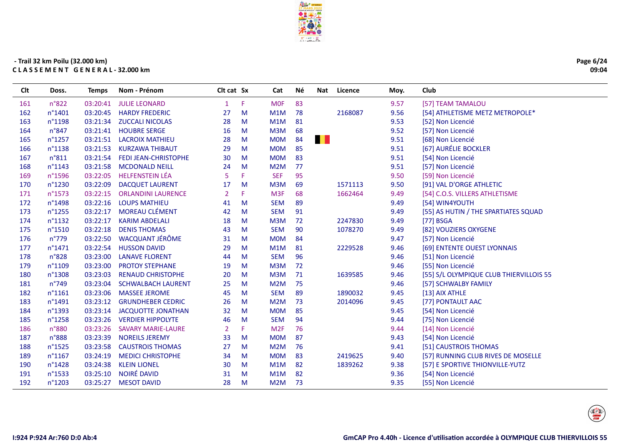

| Page 6/24 |
|-----------|
| 09:04     |

| Clt | Doss.            | <b>Temps</b> | Nom - Prénom                | Clt cat Sx |    | Cat             | Νé |                | Nat Licence | Moy. | Club                                    |
|-----|------------------|--------------|-----------------------------|------------|----|-----------------|----|----------------|-------------|------|-----------------------------------------|
| 161 | n°822            | 03:20:41     | <b>JULIE LEONARD</b>        | -1         | F  | <b>MOF</b>      | 83 |                |             | 9.57 | [57] TEAM TAMALOU                       |
| 162 | n°1401           | 03:20:45     | <b>HARDY FREDERIC</b>       | 27         | M  | M1M             | 78 |                | 2168087     | 9.56 | [54] ATHLETISME METZ METROPOLE*         |
| 163 | n°1198           | 03:21:34     | <b>ZUCCALI NICOLAS</b>      | 28         | M  | M1M             | 81 |                |             | 9.53 | [52] Non Licencié                       |
| 164 | $n^{\circ}847$   | 03:21:41     | <b>HOUBRE SERGE</b>         | 16         | M  | M3M             | 68 |                |             | 9.52 | [57] Non Licencié                       |
| 165 | n°1257           | 03:21:51     | <b>LACROIX MATHIEU</b>      | 28         | M  | <b>MOM</b>      | 84 | $\blacksquare$ |             | 9.51 | [68] Non Licencié                       |
| 166 | n°1138           | 03:21:53     | <b>KURZAWA THIBAUT</b>      | 29         | M  | <b>MOM</b>      | 85 |                |             | 9.51 | [67] AURÉLIE BOCKLER                    |
| 167 | n°811            | 03:21:54     | <b>FEDI JEAN-CHRISTOPHE</b> | 30         | M  | <b>MOM</b>      | 83 |                |             | 9.51 | [54] Non Licencié                       |
| 168 | n°1143           | 03:21:58     | <b>MCDONALD NEILL</b>       | 24         | M  | M2M             | 77 |                |             | 9.51 | [57] Non Licencié                       |
| 169 | n°1596           | 03:22:05     | <b>HELFENSTEIN LÉA</b>      | 5          | F  | <b>SEF</b>      | 95 |                |             | 9.50 | [59] Non Licencié                       |
| 170 | n°1230           | 03:22:09     | <b>DACQUET LAURENT</b>      | 17         | M  | M3M             | 69 |                | 1571113     | 9.50 | [91] VAL D'ORGE ATHLETIC                |
| 171 | n°1573           | 03:22:15     | <b>ORLANDINI LAURENCE</b>   | 2          | F  | M <sub>3F</sub> | 68 |                | 1662464     | 9.49 | [54] C.O.S. VILLERS ATHLETISME          |
| 172 | n°1498           | 03:22:16     | <b>LOUPS MATHIEU</b>        | 41         | M  | <b>SEM</b>      | 89 |                |             | 9.49 | [54] WIN4YOUTH                          |
| 173 | n°1255           | 03:22:17     | <b>MOREAU CLÉMENT</b>       | 42         | M  | <b>SEM</b>      | 91 |                |             | 9.49 | [55] AS HUTIN / THE SPARTIATES SQUAD    |
| 174 | n°1132           | 03:22:17     | <b>KARIM ABDELALI</b>       | 18         | M  | M3M             | 72 |                | 2247830     | 9.49 | [77] BSGA                               |
| 175 | n°1510           | 03:22:18     | <b>DENIS THOMAS</b>         | 43         | M  | <b>SEM</b>      | 90 |                | 1078270     | 9.49 | [82] VOUZIERS OXYGENE                   |
| 176 | $n^{\circ}779$   | 03:22:50     | <b>WACQUANT JÉRÔME</b>      | 31         | M  | <b>MOM</b>      | 84 |                |             | 9.47 | [57] Non Licencié                       |
| 177 | n°1471           | 03:22:54     | <b>HUSSON DAVID</b>         | 29         | M  | M1M             | 81 |                | 2229528     | 9.46 | [69] ENTENTE OUEST LYONNAIS             |
| 178 | n°828            | 03:23:00     | <b>LANAVE FLORENT</b>       | 44         | M  | <b>SEM</b>      | 96 |                |             | 9.46 | [51] Non Licencié                       |
| 179 | n°1109           | 03:23:00     | <b>PROTOY STEPHANE</b>      | 19         | M  | M3M             | 72 |                |             | 9.46 | [55] Non Licencié                       |
| 180 | n°1308           | 03:23:03     | <b>RENAUD CHRISTOPHE</b>    | 20         | M  | M3M             | 71 |                | 1639585     | 9.46 | [55] S/L OLYMPIQUE CLUB THIERVILLOIS 55 |
| 181 | n°749            | 03:23:04     | <b>SCHWALBACH LAURENT</b>   | 25         | M  | M2M             | 75 |                |             | 9.46 | [57] SCHWALBY FAMILY                    |
| 182 | $n^{\circ}1161$  | 03:23:06     | <b>MASSEE JEROME</b>        | 45         | M  | <b>SEM</b>      | 89 |                | 1890032     | 9.45 | [13] AIX ATHLE                          |
| 183 | n°1491           | 03:23:12     | <b>GRUNDHEBER CEDRIC</b>    | 26         | M  | M2M             | 73 |                | 2014096     | 9.45 | [77] PONTAULT AAC                       |
| 184 | n°1393           | 03:23:14     | <b>JACQUOTTE JONATHAN</b>   | 32         | M  | <b>MOM</b>      | 85 |                |             | 9.45 | [54] Non Licencié                       |
| 185 | n°1258           | 03:23:26     | <b>VERDIER HIPPOLYTE</b>    | 46         | M  | <b>SEM</b>      | 94 |                |             | 9.44 | [75] Non Licencié                       |
| 186 | n°880            | 03:23:26     | <b>SAVARY MARIE-LAURE</b>   | 2          | F. | M <sub>2F</sub> | 76 |                |             | 9.44 | [14] Non Licencié                       |
| 187 | n°888            | 03:23:39     | <b>NOREILS JEREMY</b>       | 33         | M  | <b>MOM</b>      | 87 |                |             | 9.43 | [54] Non Licencié                       |
| 188 | $n^{\circ}$ 1525 | 03:23:58     | <b>CAUSTROIS THOMAS</b>     | 27         | M  | M2M             | 76 |                |             | 9.41 | [51] CAUSTROIS THOMAS                   |
| 189 | n°1167           | 03:24:19     | <b>MEDICI CHRISTOPHE</b>    | 34         | M  | <b>MOM</b>      | 83 |                | 2419625     | 9.40 | [57] RUNNING CLUB RIVES DE MOSELLE      |
| 190 | n°1428           | 03:24:38     | <b>KLEIN LIONEL</b>         | 30         | M  | M1M             | 82 |                | 1839262     | 9.38 | [57] E SPORTIVE THIONVILLE-YUTZ         |
| 191 | n°1533           | 03:25:10     | NOIRÉ DAVID                 | 31         | M  | M1M             | 82 |                |             | 9.36 | [54] Non Licencié                       |
| 192 | n°1203           | 03:25:27     | <b>MESOT DAVID</b>          | 28         | M  | M2M             | 73 |                |             | 9.35 | [55] Non Licencié                       |
|     |                  |              |                             |            |    |                 |    |                |             |      |                                         |

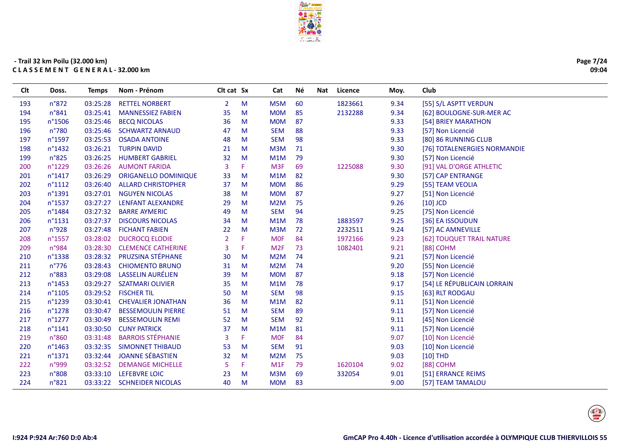

Cat

Né

Nat Licence

Moy.

Club

Clt cat Sx

#### - Trail 32 km Poilu (32.000 km) CLASSEMENT GENERAL-32.000 km

Doss.

**Temps** 

Nom - Prénom

**Clt** 

| 193 | n°872            | 03:25:28 | <b>RETTEL NORBERT</b>     | 2              | M  | M <sub>5</sub> M | 60 | 1823661 | 9.34 | [55] S/L ASPTT VERDUN        |
|-----|------------------|----------|---------------------------|----------------|----|------------------|----|---------|------|------------------------------|
| 194 | n°841            | 03:25:41 | <b>MANNESSIEZ FABIEN</b>  | 35             | M  | <b>MOM</b>       | 85 | 2132288 | 9.34 | [62] BOULOGNE-SUR-MER AC     |
| 195 | $n^{\circ}$ 1506 | 03:25:46 | <b>BECQ NICOLAS</b>       | 36             | M  | <b>MOM</b>       | 87 |         | 9.33 | [54] BRIEY MARATHON          |
| 196 | n°780            | 03:25:46 | <b>SCHWARTZ ARNAUD</b>    | 47             | M  | <b>SEM</b>       | 88 |         | 9.33 | [57] Non Licencié            |
| 197 | n°1597           | 03:25:53 | <b>OSADA ANTOINE</b>      | 48             | M  | <b>SEM</b>       | 98 |         | 9.33 | [80] 86 RUNNING CLUB         |
| 198 | n°1432           | 03:26:21 | <b>TURPIN DAVID</b>       | 21             | M  | M3M              | 71 |         | 9.30 | [76] TOTALENERGIES NORMANDIE |
| 199 | $n^{\circ}825$   | 03:26:25 | <b>HUMBERT GABRIEL</b>    | 32             | M  | M1M              | 79 |         | 9.30 | [57] Non Licencié            |
| 200 | $n^{\circ}1229$  | 03:26:26 | <b>AUMONT FARIDA</b>      | 3              | F. | M <sub>3F</sub>  | 69 | 1225088 | 9.30 | [91] VAL D'ORGE ATHLETIC     |
| 201 | $n^{\circ}$ 1417 | 03:26:29 | ORIGANELLO DOMINIQUE      | 33             | M  | M1M              | 82 |         | 9.30 | [57] CAP ENTRANGE            |
| 202 | $n^{\circ}1112$  | 03:26:40 | <b>ALLARD CHRISTOPHER</b> | 37             | M  | <b>MOM</b>       | 86 |         | 9.29 | [55] TEAM VEOLIA             |
| 203 | n°1391           | 03:27:01 | <b>NGUYEN NICOLAS</b>     | 38             | M  | <b>MOM</b>       | 87 |         | 9.27 | [51] Non Licencié            |
| 204 | n°1537           | 03:27:27 | LENFANT ALEXANDRE         | 29             | M  | M <sub>2</sub> M | 75 |         | 9.26 | $[10]$ JCD                   |
| 205 | n°1484           | 03:27:32 | <b>BARRE AYMERIC</b>      | 49             | M  | <b>SEM</b>       | 94 |         | 9.25 | [75] Non Licencié            |
| 206 | $n^{\circ}1131$  | 03:27:37 | <b>DISCOURS NICOLAS</b>   | 34             | M  | M1M              | 78 | 1883597 | 9.25 | [36] EA ISSOUDUN             |
| 207 | n°928            | 03:27:48 | <b>FICHANT FABIEN</b>     | 22             | M  | M3M              | 72 | 2232511 | 9.24 | [57] AC AMNEVILLE            |
| 208 | n°1557           | 03:28:02 | <b>DUCROCQ ELODIE</b>     | $\overline{2}$ | F  | <b>MOF</b>       | 84 | 1972166 | 9.23 | [62] TOUQUET TRAIL NATURE    |
| 209 | n°984            | 03:28:30 | <b>CLEMENCE CATHERINE</b> | 3              | F  | M <sub>2F</sub>  | 73 | 1082401 | 9.21 | [88] COHM                    |
| 210 | n°1338           | 03:28:32 | PRUZSINA STÉPHANE         | 30             | M  | M <sub>2</sub> M | 74 |         | 9.21 | [57] Non Licencié            |
| 211 | $n^{\circ}776$   | 03:28:43 | <b>CHIOMENTO BRUNO</b>    | 31             | M  | M <sub>2</sub> M | 74 |         | 9.20 | [55] Non Licencié            |
| 212 | n°883            | 03:29:08 | LASSELIN AURÉLIEN         | 39             | M  | <b>MOM</b>       | 87 |         | 9.18 | [57] Non Licencié            |
| 213 | $n^{\circ}$ 1453 | 03:29:27 | <b>SZATMARI OLIVIER</b>   | 35             | M  | M1M              | 78 |         | 9.17 | [54] LE RÉPUBLICAIN LORRAIN  |
| 214 | n°1105           | 03:29:52 | <b>FISCHER TIL</b>        | 50             | M  | <b>SEM</b>       | 98 |         | 9.15 | [63] RLT RODGAU              |
| 215 | n°1239           | 03:30:41 | <b>CHEVALIER JONATHAN</b> | 36             | M  | M1M              | 82 |         | 9.11 | [51] Non Licencié            |
| 216 | $n^{\circ}1278$  | 03:30:47 | <b>BESSEMOULIN PIERRE</b> | 51             | M  | <b>SEM</b>       | 89 |         | 9.11 | [57] Non Licencié            |
| 217 | $n^{\circ}1277$  | 03:30:49 | <b>BESSEMOULIN REMI</b>   | 52             | M  | <b>SEM</b>       | 92 |         | 9.11 | [45] Non Licencié            |
| 218 | $n^{\circ}1141$  | 03:30:50 | <b>CUNY PATRICK</b>       | 37             | M  | M1M              | 81 |         | 9.11 | [57] Non Licencié            |
| 219 | n°860            | 03:31:48 | <b>BARROIS STÉPHANIE</b>  | 3              | F  | <b>MOF</b>       | 84 |         | 9.07 | [10] Non Licencié            |
| 220 | $n^{\circ}$ 1463 | 03:32:35 | <b>SIMONNET THIBAUD</b>   | 53             | M  | <b>SEM</b>       | 91 |         | 9.03 | [10] Non Licencié            |
| 221 | $n^{\circ}$ 1371 | 03:32:44 | <b>JOANNE SÉBASTIEN</b>   | 32             | M  | M <sub>2</sub> M | 75 |         | 9.03 | $[10]$ THD                   |
| 222 | n°999            | 03:32:52 | <b>DEMANGE MICHELLE</b>   | 5              | F. | M1F              | 79 | 1620104 | 9.02 | [88] COHM                    |
| 223 | n°808            | 03:33:10 | LEFEBVRE LOIC             | 23             | M  | M3M              | 69 | 332054  | 9.01 | [51] ERRANCE REIMS           |
| 224 | n°821            | 03:33:22 | <b>SCHNEIDER NICOLAS</b>  | 40             | M  | <b>MOM</b>       | 83 |         | 9.00 | [57] TEAM TAMALOU            |

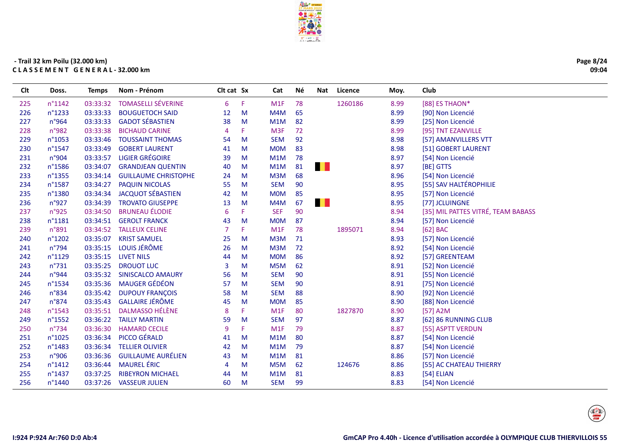

| Page 8/24 |
|-----------|
| 09:04     |

| Clt | Doss.            | <b>Temps</b> | Nom - Prénom                | Clt cat Sx     |    | Cat              | Νé | <b>Nat</b> | Licence | Moy. | Club                               |
|-----|------------------|--------------|-----------------------------|----------------|----|------------------|----|------------|---------|------|------------------------------------|
| 225 | n°1142           | 03:33:32     | <b>TOMASELLI SÉVERINE</b>   | 6              | F. | M <sub>1</sub> F | 78 |            | 1260186 | 8.99 | [88] ES THAON*                     |
| 226 | n°1233           | 03:33:33     | <b>BOUGUETOCH SAID</b>      | 12             | M  | M4M              | 65 |            |         | 8.99 | [90] Non Licencié                  |
| 227 | n°964            | 03:33:33     | <b>GADOT SÉBASTIEN</b>      | 38             | M  | M1M              | 82 |            |         | 8.99 | [25] Non Licencié                  |
| 228 | n°982            | 03:33:38     | <b>BICHAUD CARINE</b>       | $\overline{4}$ | F. | M <sub>3F</sub>  | 72 |            |         | 8.99 | [95] TNT EZANVILLE                 |
| 229 | n°1053           | 03:33:46     | <b>TOUSSAINT THOMAS</b>     | 54             | M  | <b>SEM</b>       | 92 |            |         | 8.98 | [57] AMANVILLERS VTT               |
| 230 | n°1547           | 03:33:49     | <b>GOBERT LAURENT</b>       | 41             | M  | <b>MOM</b>       | 83 |            |         | 8.98 | [51] GOBERT LAURENT                |
| 231 | n°904            | 03:33:57     | <b>LIGIER GRÉGOIRE</b>      | 39             | M  | M1M              | 78 |            |         | 8.97 | [54] Non Licencié                  |
| 232 | n°1586           | 03:34:07     | <b>GRANDJEAN QUENTIN</b>    | 40             | M  | M1M              | 81 | . .        |         | 8.97 | [BE] GTTS                          |
| 233 | n°1355           | 03:34:14     | <b>GUILLAUME CHRISTOPHE</b> | 24             | M  | M3M              | 68 |            |         | 8.96 | [54] Non Licencié                  |
| 234 | n°1587           | 03:34:27     | <b>PAQUIN NICOLAS</b>       | 55             | M  | <b>SEM</b>       | 90 |            |         | 8.95 | [55] SAV HALTÉROPHILIE             |
| 235 | n°1380           | 03:34:34     | <b>JACQUOT SÉBASTIEN</b>    | 42             | M  | <b>MOM</b>       | 85 |            |         | 8.95 | [57] Non Licencié                  |
| 236 | n°927            | 03:34:39     | <b>TROVATO GIUSEPPE</b>     | 13             | M  | M4M              | 67 | . .        |         | 8.95 | [77] JCLUINGNE                     |
| 237 | n°925            | 03:34:50     | <b>BRUNEAU ÉLODIE</b>       | 6              | F. | <b>SEF</b>       | 90 |            |         | 8.94 | [35] MIL PATTES VITRÉ, TEAM BABASS |
| 238 | n°1181           | 03:34:51     | <b>GEROLT FRANCK</b>        | 43             | M  | <b>MOM</b>       | 87 |            |         | 8.94 | [57] Non Licencié                  |
| 239 | n°891            | 03:34:52     | <b>TALLEUX CELINE</b>       | $\overline{7}$ | F. | M1F              | 78 |            | 1895071 | 8.94 | [62] BAC                           |
| 240 | n°1202           | 03:35:07     | <b>KRIST SAMUEL</b>         | 25             | M  | M3M              | 71 |            |         | 8.93 | [57] Non Licencié                  |
| 241 | $n^{\circ}$ 794  | 03:35:15     | LOUIS JÉRÔME                | 26             | M  | M3M              | 72 |            |         | 8.92 | [54] Non Licencié                  |
| 242 | n°1129           | 03:35:15     | <b>LIVET NILS</b>           | 44             | M  | <b>MOM</b>       | 86 |            |         | 8.92 | [57] GREENTEAM                     |
| 243 | $n^{\circ}731$   | 03:35:25     | <b>DROUOT LUC</b>           | 3              | M  | M5M              | 62 |            |         | 8.91 | [52] Non Licencié                  |
| 244 | n°944            | 03:35:32     | <b>SINISCALCO AMAURY</b>    | 56             | M  | <b>SEM</b>       | 90 |            |         | 8.91 | [55] Non Licencié                  |
| 245 | n°1534           | 03:35:36     | <b>MAUGER GÉDÉON</b>        | 57             | M  | <b>SEM</b>       | 90 |            |         | 8.91 | [75] Non Licencié                  |
| 246 | $n^{\circ}834$   | 03:35:42     | <b>DUPOUY FRANÇOIS</b>      | 58             | M  | <b>SEM</b>       | 88 |            |         | 8.90 | [92] Non Licencié                  |
| 247 | $n^{\circ}874$   | 03:35:43     | <b>GALLAIRE JÉRÔME</b>      | 45             | M  | <b>MOM</b>       | 85 |            |         | 8.90 | [88] Non Licencié                  |
| 248 | n°1543           | 03:35:51     | <b>DALMASSO HÉLÈNE</b>      | 8              | F. | M1F              | 80 |            | 1827870 | 8.90 | $[57]$ A2M                         |
| 249 | n°1552           | 03:36:22     | <b>TAILLY MARTIN</b>        | 59             | M  | <b>SEM</b>       | 97 |            |         | 8.87 | [62] 86 RUNNING CLUB               |
| 250 | $n^{\circ}$ 734  | 03:36:30     | <b>HAMARD CECILE</b>        | 9              | F. | M1F              | 79 |            |         | 8.87 | [55] ASPTT VERDUN                  |
| 251 | $n^{\circ}1025$  | 03:36:34     | PICCO GÉRALD                | 41             | M  | M1M              | 80 |            |         | 8.87 | [54] Non Licencié                  |
| 252 | n°1483           | 03:36:34     | <b>TELLIER OLIVIER</b>      | 42             | M  | M1M              | 79 |            |         | 8.87 | [54] Non Licencié                  |
| 253 | n°906            | 03:36:36     | <b>GUILLAUME AURÉLIEN</b>   | 43             | M  | M1M              | 81 |            |         | 8.86 | [57] Non Licencié                  |
| 254 | $n^{\circ}$ 1412 | 03:36:44     | <b>MAUREL ÉRIC</b>          | 4              | M  | M5M              | 62 |            | 124676  | 8.86 | [55] AC CHATEAU THIERRY            |
| 255 | n°1437           | 03:37:25     | <b>RIBEYRON MICHAEL</b>     | 44             | M  | M1M              | 81 |            |         | 8.83 | [54] ELIAN                         |
| 256 | n°1440           | 03:37:26     | <b>VASSEUR JULIEN</b>       | 60             | M  | <b>SEM</b>       | 99 |            |         | 8.83 | [54] Non Licencié                  |
|     |                  |              |                             |                |    |                  |    |            |         |      |                                    |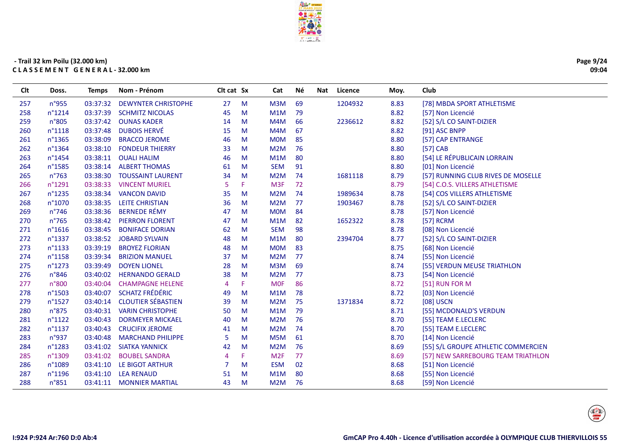

| Page 9/24 |
|-----------|
| 09:04     |

| Clt | Doss.           | Temps    | Nom - Prénom               | Clt cat Sx     |   | Cat              | Né | Nat | Licence | Moy. | Club                                |
|-----|-----------------|----------|----------------------------|----------------|---|------------------|----|-----|---------|------|-------------------------------------|
| 257 | n°955           | 03:37:32 | <b>DEWYNTER CHRISTOPHE</b> | 27             | M | M <sub>3</sub> M | 69 |     | 1204932 | 8.83 | [78] MBDA SPORT ATHLETISME          |
| 258 | $n^{\circ}1214$ | 03:37:39 | <b>SCHMITZ NICOLAS</b>     | 45             | M | M1M              | 79 |     |         | 8.82 | [57] Non Licencié                   |
| 259 | n°805           | 03:37:42 | <b>OUNAS KADER</b>         | 14             | M | M4M              | 66 |     | 2236612 | 8.82 | [52] S/L CO SAINT-DIZIER            |
| 260 | n°1118          | 03:37:48 | <b>DUBOIS HERVÉ</b>        | 15             | M | M4M              | 67 |     |         | 8.82 | [91] ASC BNPP                       |
| 261 | n°1365          | 03:38:09 | <b>BRACCO JEROME</b>       | 46             | M | <b>MOM</b>       | 85 |     |         | 8.80 | [57] CAP ENTRANGE                   |
| 262 | n°1364          | 03:38:10 | <b>FONDEUR THIERRY</b>     | 33             | M | M <sub>2</sub> M | 76 |     |         | 8.80 | $[57]$ CAB                          |
| 263 | n°1454          |          | 03:38:11 OUALI HALIM       | 46             | M | M1M              | 80 |     |         | 8.80 | [54] LE RÉPUBLICAIN LORRAIN         |
| 264 | n°1585          | 03:38:14 | <b>ALBERT THOMAS</b>       | 61             | M | <b>SEM</b>       | 91 |     |         | 8.80 | [01] Non Licencié                   |
| 265 | $n^{\circ}763$  | 03:38:30 | <b>TOUSSAINT LAURENT</b>   | 34             | M | M2M              | 74 |     | 1681118 | 8.79 | [57] RUNNING CLUB RIVES DE MOSELLE  |
| 266 | n°1291          | 03:38:33 | <b>VINCENT MURIEL</b>      | 5              | F | M <sub>3F</sub>  | 72 |     |         | 8.79 | [54] C.O.S. VILLERS ATHLETISME      |
| 267 | n°1235          | 03:38:34 | <b>VANCON DAVID</b>        | 35             | M | M <sub>2</sub> M | 74 |     | 1989634 | 8.78 | [54] COS VILLERS ATHLETISME         |
| 268 | n°1070          | 03:38:35 | <b>LEITE CHRISTIAN</b>     | 36             | M | M <sub>2</sub> M | 77 |     | 1903467 | 8.78 | [52] S/L CO SAINT-DIZIER            |
| 269 | $n^{\circ}$ 746 | 03:38:36 | <b>BERNEDE RÉMY</b>        | 47             | M | <b>MOM</b>       | 84 |     |         | 8.78 | [57] Non Licencié                   |
| 270 | $n^{\circ}765$  | 03:38:42 | <b>PIERRON FLORENT</b>     | 47             | M | M1M              | 82 |     | 1652322 | 8.78 | [57] RCRM                           |
| 271 | n°1616          | 03:38:45 | <b>BONIFACE DORIAN</b>     | 62             | M | <b>SEM</b>       | 98 |     |         | 8.78 | [08] Non Licencié                   |
| 272 | n°1337          | 03:38:52 | <b>JOBARD SYLVAIN</b>      | 48             | M | M1M              | 80 |     | 2394704 | 8.77 | [52] S/L CO SAINT-DIZIER            |
| 273 | n°1133          | 03:39:19 | <b>BROYEZ FLORIAN</b>      | 48             | M | <b>MOM</b>       | 83 |     |         | 8.75 | [68] Non Licencié                   |
| 274 | n°1158          | 03:39:34 | <b>BRIZION MANUEL</b>      | 37             | M | M2M              | 77 |     |         | 8.74 | [55] Non Licencié                   |
| 275 | n°1273          | 03:39:49 | <b>DOYEN LIONEL</b>        | 28             | M | M3M              | 69 |     |         | 8.74 | [55] VERDUN MEUSE TRIATHLON         |
| 276 | n°846           | 03:40:02 | <b>HERNANDO GERALD</b>     | 38             | M | M <sub>2</sub> M | 77 |     |         | 8.73 | [54] Non Licencié                   |
| 277 | n°800           | 03:40:04 | <b>CHAMPAGNE HELENE</b>    | $\overline{4}$ | F | <b>MOF</b>       | 86 |     |         | 8.72 | [51] RUN FOR M                      |
| 278 | n°1503          | 03:40:07 | <b>SCHATZ FRÉDÉRIC</b>     | 49             | M | M1M              | 78 |     |         | 8.72 | [03] Non Licencié                   |
| 279 | n°1527          | 03:40:14 | <b>CLOUTIER SÉBASTIEN</b>  | 39             | M | M <sub>2</sub> M | 75 |     | 1371834 | 8.72 | [08] USCN                           |
| 280 | n°875           |          | 03:40:31 VARIN CHRISTOPHE  | 50             | M | M1M              | 79 |     |         | 8.71 | [55] MCDONALD'S VERDUN              |
| 281 | $n^{\circ}1122$ | 03:40:43 | <b>DORMEYER MICKAEL</b>    | 40             | M | M <sub>2</sub> M | 76 |     |         | 8.70 | [55] TEAM E.LECLERC                 |
| 282 | n°1137          | 03:40:43 | <b>CRUCIFIX JEROME</b>     | 41             | M | M2M              | 74 |     |         | 8.70 | [55] TEAM E.LECLERC                 |
| 283 | n°937           | 03:40:48 | <b>MARCHAND PHILIPPE</b>   | 5              | м | M5M              | 61 |     |         | 8.70 | [14] Non Licencié                   |
| 284 | n°1283          | 03:41:02 | <b>SIATKA YANNICK</b>      | 42             | M | M <sub>2</sub> M | 76 |     |         | 8.69 | [55] S/L GROUPE ATHLETIC COMMERCIEN |
| 285 | n°1309          | 03:41:02 | <b>BOUBEL SANDRA</b>       | $\overline{4}$ | p | M <sub>2F</sub>  | 77 |     |         | 8.69 | [57] NEW SARREBOURG TEAM TRIATHLON  |
| 286 | n°1089          | 03:41:10 | LE BIGOT ARTHUR            | 7              | M | <b>ESM</b>       | 02 |     |         | 8.68 | [51] Non Licencié                   |
| 287 | n°1196          | 03:41:10 | <b>LEA RENAUD</b>          | 51             | M | M1M              | 80 |     |         | 8.68 | [55] Non Licencié                   |
| 288 | n°851           |          | 03:41:11 MONNIER MARTIAL   | 43             | M | M2M              | 76 |     |         | 8.68 | [59] Non Licencié                   |

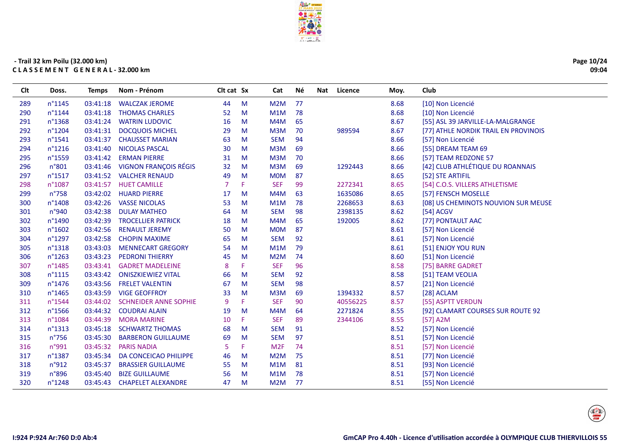

| Page 10/24 |
|------------|
| 09:04      |

| Clt | Doss.            | <b>Temps</b> | Nom - Prénom                 | Clt cat Sx |    | Cat              | Né | Licence<br>Nat | Moy. | Club                                 |
|-----|------------------|--------------|------------------------------|------------|----|------------------|----|----------------|------|--------------------------------------|
| 289 | n°1145           | 03:41:18     | <b>WALCZAK JEROME</b>        | 44         | M  | M <sub>2</sub> M | 77 |                | 8.68 | [10] Non Licencié                    |
| 290 | $n^{\circ}$ 1144 | 03:41:18     | <b>THOMAS CHARLES</b>        | 52         | M  | M1M              | 78 |                | 8.68 | [10] Non Licencié                    |
| 291 | n°1368           | 03:41:24     | <b>WATRIN LUDOVIC</b>        | 16         | M  | M4M              | 65 |                | 8.67 | [55] ASL 39 JARVILLE-LA-MALGRANGE    |
| 292 | n°1204           | 03:41:31     | <b>DOCQUOIS MICHEL</b>       | 29         | M  | M3M              | 70 | 989594         | 8.67 | [77] ATHLE NORDIK TRAIL EN PROVINOIS |
| 293 | $n^{\circ}$ 1541 | 03:41:37     | <b>CHAUSSET MARIAN</b>       | 63         | M  | <b>SEM</b>       | 94 |                | 8.66 | [57] Non Licencié                    |
| 294 | $n^{\circ}$ 1216 | 03:41:40     | <b>NICOLAS PASCAL</b>        | 30         | M  | M3M              | 69 |                | 8.66 | [55] DREAM TEAM 69                   |
| 295 | n°1559           | 03:41:42     | <b>ERMAN PIERRE</b>          | 31         | M  | M3M              | 70 |                | 8.66 | [57] TEAM REDZONE 57                 |
| 296 | n°801            | 03:41:46     | <b>VIGNON FRANÇOIS RÉGIS</b> | 32         | M  | M3M              | 69 | 1292443        | 8.66 | [42] CLUB ATHLÉTIQUE DU ROANNAIS     |
| 297 | $n^{\circ}$ 1517 | 03:41:52     | <b>VALCHER RENAUD</b>        | 49         | M  | <b>MOM</b>       | 87 |                | 8.65 | [52] STE ARTIFIL                     |
| 298 | n°1087           | 03:41:57     | <b>HUET CAMILLE</b>          | 7          | F. | <b>SEF</b>       | 99 | 2272341        | 8.65 | [54] C.O.S. VILLERS ATHLETISME       |
| 299 | $n^{\circ}758$   | 03:42:02     | <b>HUARD PIERRE</b>          | 17         | M  | M4M              | 63 | 1635086        | 8.65 | [57] FENSCH MOSELLE                  |
| 300 | n°1408           | 03:42:26     | <b>VASSE NICOLAS</b>         | 53         | M  | M1M              | 78 | 2268653        | 8.63 | [08] US CHEMINOTS NOUVION SUR MEUSE  |
| 301 | n°940            | 03:42:38     | <b>DULAY MATHEO</b>          | 64         | M  | <b>SEM</b>       | 98 | 2398135        | 8.62 | [54] ACGV                            |
| 302 | n°1490           | 03:42:39     | <b>TROCELLIER PATRICK</b>    | 18         | M  | M4M              | 65 | 192005         | 8.62 | [77] PONTAULT AAC                    |
| 303 | $n^{\circ}1602$  | 03:42:56     | <b>RENAULT JEREMY</b>        | 50         | M  | <b>MOM</b>       | 87 |                | 8.61 | [57] Non Licencié                    |
| 304 | n°1297           | 03:42:58     | <b>CHOPIN MAXIME</b>         | 65         | M  | <b>SEM</b>       | 92 |                | 8.61 | [57] Non Licencié                    |
| 305 | n°1318           | 03:43:03     | <b>MENNECART GREGORY</b>     | 54         | M  | M1M              | 79 |                | 8.61 | [51] ENJOY YOU RUN                   |
| 306 | $n^{\circ}$ 1263 | 03:43:23     | <b>PEDRONI THIERRY</b>       | 45         | M  | M2M              | 74 |                | 8.60 | [51] Non Licencié                    |
| 307 | n°1485           | 03:43:41     | <b>GADRET MADELEINE</b>      | 8          | F. | <b>SEF</b>       | 96 |                | 8.58 | [75] BARRE GADRET                    |
| 308 | $n^{\circ}1115$  | 03:43:42     | <b>ONISZKIEWIEZ VITAL</b>    | 66         | M  | <b>SEM</b>       | 92 |                | 8.58 | [51] TEAM VEOLIA                     |
| 309 | n°1476           | 03:43:56     | <b>FRELET VALENTIN</b>       | 67         | M  | <b>SEM</b>       | 98 |                | 8.57 | [21] Non Licencié                    |
| 310 | $n^{\circ}$ 1465 | 03:43:59     | <b>VIGE GEOFFROY</b>         | 33         | M  | M3M              | 69 | 1394332        | 8.57 | [28] ACLAM                           |
| 311 | n°1544           | 03:44:02     | <b>SCHNEIDER ANNE SOPHIE</b> | 9          | F. | <b>SEF</b>       | 90 | 40556225       | 8.57 | [55] ASPTT VERDUN                    |
| 312 | n°1566           | 03:44:32     | <b>COUDRAI ALAIN</b>         | 19         | M  | M4M              | 64 | 2271824        | 8.55 | [92] CLAMART COURSES SUR ROUTE 92    |
| 313 | n°1084           | 03:44:39     | <b>MORA MARINE</b>           | 10         | F. | <b>SEF</b>       | 89 | 2344106        | 8.55 | $[57]$ A2M                           |
| 314 | n°1313           |              | 03:45:18 SCHWARTZ THOMAS     | 68         | M  | <b>SEM</b>       | 91 |                | 8.52 | [57] Non Licencié                    |
| 315 | $n^{\circ}$ 756  | 03:45:30     | <b>BARBERON GUILLAUME</b>    | 69         | M  | <b>SEM</b>       | 97 |                | 8.51 | [57] Non Licencié                    |
| 316 | n°991            | 03:45:32     | <b>PARIS NADIA</b>           | 5          | F. | M2F              | 74 |                | 8.51 | [57] Non Licencié                    |
| 317 | n°1387           | 03:45:34     | DA CONCEICAO PHILIPPE        | 46         | M  | M2M              | 75 |                | 8.51 | [77] Non Licencié                    |
| 318 | n°912            | 03:45:37     | <b>BRASSIER GUILLAUME</b>    | 55         | M  | M1M              | 81 |                | 8.51 | [93] Non Licencié                    |
| 319 | n°896            | 03:45:40     | <b>BIZE GUILLAUME</b>        | 56         | M  | M1M              | 78 |                | 8.51 | [57] Non Licencié                    |
| 320 | $n^{\circ}$ 1248 | 03:45:43     | <b>CHAPELET ALEXANDRE</b>    | 47         | M  | M2M              | 77 |                | 8.51 | [55] Non Licencié                    |
|     |                  |              |                              |            |    |                  |    |                |      |                                      |

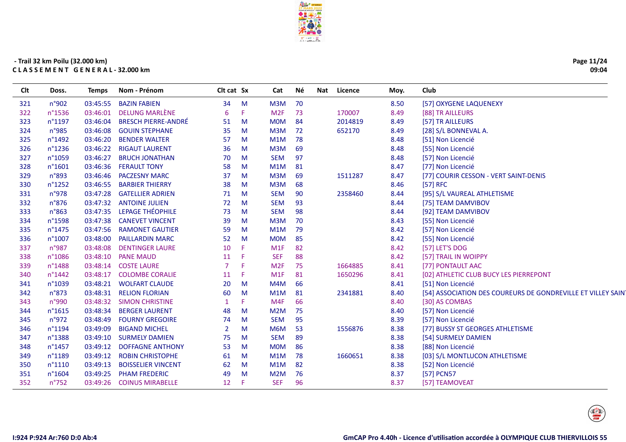

| Page 11/24 |
|------------|
| 09:04      |

| Clt | Doss.           | <b>Temps</b> | Nom - Prénom               | Clt cat Sx     |    | Cat              | Νé | Nat Licence | Moy. | Club                                                        |
|-----|-----------------|--------------|----------------------------|----------------|----|------------------|----|-------------|------|-------------------------------------------------------------|
| 321 | n°902           | 03:45:55     | <b>BAZIN FABIEN</b>        | 34             | M  | M3M              | 70 |             | 8.50 | [57] OXYGENE LAQUENEXY                                      |
| 322 | n°1536          | 03:46:01     | DELUNG MARLÈNE             | 6              | F  | M2F              | 73 | 170007      | 8.49 | [88] TR AILLEURS                                            |
| 323 | n°1197          | 03:46:04     | <b>BRESCH PIERRE-ANDRÉ</b> | 51             | M  | <b>MOM</b>       | 84 | 2014819     | 8.49 | [57] TR AILLEURS                                            |
| 324 | n°985           | 03:46:08     | <b>GOUIN STEPHANE</b>      | 35             | M  | M <sub>3</sub> M | 72 | 652170      | 8.49 | [28] S/L BONNEVAL A.                                        |
| 325 | n°1492          | 03:46:20     | <b>BENDER WALTER</b>       | 57             | M  | M1M              | 78 |             | 8.48 | [51] Non Licencié                                           |
| 326 | n°1236          | 03:46:22     | <b>RIGAUT LAURENT</b>      | 36             | M  | M3M              | 69 |             | 8.48 | [55] Non Licencié                                           |
| 327 | n°1059          | 03:46:27     | <b>BRUCH JONATHAN</b>      | 70             | M  | <b>SEM</b>       | 97 |             | 8.48 | [57] Non Licencié                                           |
| 328 | n°1601          | 03:46:36     | <b>FERAULT TONY</b>        | 58             | M  | M1M              | 81 |             | 8.47 | [77] Non Licencié                                           |
| 329 | n°893           | 03:46:46     | <b>PACZESNY MARC</b>       | 37             | M  | M3M              | 69 | 1511287     | 8.47 | [77] COURIR CESSON - VERT SAINT-DENIS                       |
| 330 | n°1252          | 03:46:55     | <b>BARBIER THIERRY</b>     | 38             | M  | M3M              | 68 |             | 8.46 | $[57]$ RFC                                                  |
| 331 | n°978           | 03:47:28     | <b>GATELLIER ADRIEN</b>    | 71             | M  | <b>SEM</b>       | 90 | 2358460     | 8.44 | [95] S/L VAUREAL ATHLETISME                                 |
| 332 | n°876           | 03:47:32     | <b>ANTOINE JULIEN</b>      | 72             | M  | <b>SEM</b>       | 93 |             | 8.44 | [75] TEAM DAMVIBOV                                          |
| 333 | n°863           | 03:47:35     | LEPAGE THÉOPHILE           | 73             | M  | <b>SEM</b>       | 98 |             | 8.44 | [92] TEAM DAMVIBOV                                          |
| 334 | n°1598          | 03:47:38     | <b>CANEVET VINCENT</b>     | 39             | M  | M3M              | 70 |             | 8.43 | [55] Non Licencié                                           |
| 335 | n°1475          | 03:47:56     | <b>RAMONET GAUTIER</b>     | 59             | M  | M1M              | 79 |             | 8.42 | [57] Non Licencié                                           |
| 336 | n°1007          | 03:48:00     | <b>PAILLARDIN MARC</b>     | 52             | M  | <b>MOM</b>       | 85 |             | 8.42 | [55] Non Licencié                                           |
| 337 | n°987           | 03:48:08     | <b>DENTINGER LAURE</b>     | 10             | F. | M1F              | 82 |             | 8.42 | [57] LET'S DOG                                              |
| 338 | n°1086          | 03:48:10     | <b>PANE MAUD</b>           | 11             |    | <b>SEF</b>       | 88 |             | 8.42 | [57] TRAIL IN WOIPPY                                        |
| 339 | n°1488          | 03:48:14     | <b>COSTE LAURE</b>         | $\overline{7}$ | F  | M <sub>2F</sub>  | 75 | 1664885     | 8.41 | [77] PONTAULT AAC                                           |
| 340 | n°1442          | 03:48:17     | <b>COLOMBE CORALIE</b>     | 11             | F. | M1F              | 81 | 1650296     | 8.41 | [02] ATHLETIC CLUB BUCY LES PIERREPONT                      |
| 341 | n°1039          | 03:48:21     | <b>WOLFART CLAUDE</b>      | 20             | M  | M4M              | 66 |             | 8.41 | [51] Non Licencié                                           |
| 342 | $n^{\circ}873$  | 03:48:31     | <b>RELION FLORIAN</b>      | 60             | M  | M1M              | 81 | 2341881     | 8.40 | [54] ASSOCIATION DES COUREURS DE GONDREVILLE ET VILLEY SAIN |
| 343 | n°990           | 03:48:32     | <b>SIMON CHRISTINE</b>     |                | F. | M4F              | 66 |             | 8.40 | [30] AS COMBAS                                              |
| 344 | $n^{\circ}1615$ | 03:48:34     | <b>BERGER LAURENT</b>      | 48             | M  | M <sub>2</sub> M | 75 |             | 8.40 | [57] Non Licencié                                           |
| 345 | n°972           | 03:48:49     | <b>FOURNY GREGOIRE</b>     | 74             | M  | <b>SEM</b>       | 95 |             | 8.39 | [57] Non Licencié                                           |
| 346 | n°1194          | 03:49:09     | <b>BIGAND MICHEL</b>       | $\overline{2}$ | M  | M6M              | 53 | 1556876     | 8.38 | [77] BUSSY ST GEORGES ATHLETISME                            |
| 347 | n°1388          | 03:49:10     | <b>SURMELY DAMIEN</b>      | 75             | M  | <b>SEM</b>       | 89 |             | 8.38 | [54] SURMELY DAMIEN                                         |
| 348 | n°1457          | 03:49:12     | <b>DOFFAGNE ANTHONY</b>    | 53             | M  | <b>MOM</b>       | 86 |             | 8.38 | [88] Non Licencié                                           |
| 349 | n°1189          | 03:49:12     | <b>ROBIN CHRISTOPHE</b>    | 61             | M  | M1M              | 78 | 1660651     | 8.38 | [03] S/L MONTLUCON ATHLETISME                               |
| 350 | n°1110          | 03:49:13     | <b>BOISSELIER VINCENT</b>  | 62             | M  | M1M              | 82 |             | 8.38 | [52] Non Licencié                                           |
| 351 | n°1604          | 03:49:25     | <b>PHAM FREDERIC</b>       | 49             | M  | M2M              | 76 |             | 8.37 | [57] PCN57                                                  |
| 352 | $n^{\circ}752$  | 03:49:26     | <b>COINUS MIRABELLE</b>    | 12             | F  | <b>SEF</b>       | 96 |             | 8.37 | [57] TEAMOVEAT                                              |

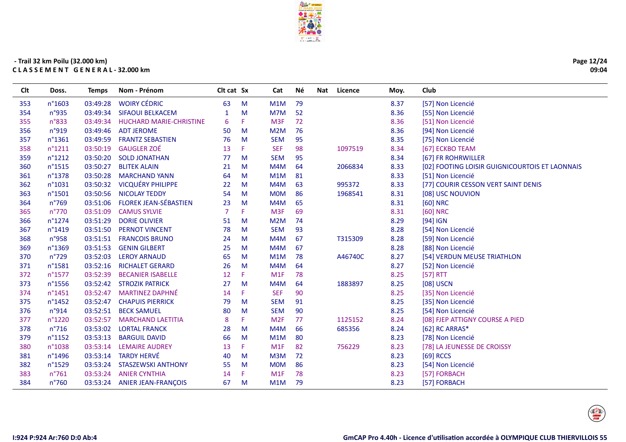

| Page 12/24 |
|------------|
| 09:04      |

| Clt | Doss.            | <b>Temps</b> | Nom - Prénom                   | Clt cat Sx   |    | Cat              | Νé | Nat | Licence | Moy. | Club                                           |
|-----|------------------|--------------|--------------------------------|--------------|----|------------------|----|-----|---------|------|------------------------------------------------|
| 353 | n°1603           | 03:49:28     | <b>WOIRY CÉDRIC</b>            | 63           | M  | M1M              | 79 |     |         | 8.37 | [57] Non Licencié                              |
| 354 | n°935            | 03:49:34     | <b>SIFAOUI BELKACEM</b>        | $\mathbf{1}$ | M  | M7M              | 52 |     |         | 8.36 | [55] Non Licencié                              |
| 355 | $n^{\circ}833$   | 03:49:34     | <b>HUCHARD MARIE-CHRISTINE</b> | 6            | F. | M3F              | 72 |     |         | 8.36 | [51] Non Licencié                              |
| 356 | n°919            | 03:49:46     | <b>ADT JEROME</b>              | 50           | M  | M2M              | 76 |     |         | 8.36 | [94] Non Licencié                              |
| 357 | n°1361           | 03:49:59     | <b>FRANTZ SEBASTIEN</b>        | 76           | M  | <b>SEM</b>       | 95 |     |         | 8.35 | [75] Non Licencié                              |
| 358 | $n^{\circ}1211$  | 03:50:19     | <b>GAUGLER ZOÉ</b>             | 13           | F. | <b>SEF</b>       | 98 |     | 1097519 | 8.34 | [67] ECKBO TEAM                                |
| 359 | $n^{\circ}1212$  | 03:50:20     | <b>SOLD JONATHAN</b>           | 77           | M  | <b>SEM</b>       | 95 |     |         | 8.34 | [67] FR ROHRWILLER                             |
| 360 | n°1515           | 03:50:27     | <b>BLITEK ALAIN</b>            | 21           | M  | M4M              | 64 |     | 2066834 | 8.33 | [02] FOOTING LOISIR GUIGNICOURTOIS ET LAONNAIS |
| 361 | n°1378           | 03:50:28     | <b>MARCHAND YANN</b>           | 64           | M  | M1M              | 81 |     |         | 8.33 | [51] Non Licencié                              |
| 362 | n°1031           | 03:50:32     | <b>VICQUÉRY PHILIPPE</b>       | 22           | M  | M4M              | 63 |     | 995372  | 8.33 | [77] COURIR CESSON VERT SAINT DENIS            |
| 363 | n°1501           | 03:50:56     | <b>NICOLAY TEDDY</b>           | 54           | M  | <b>MOM</b>       | 86 |     | 1968541 | 8.31 | [08] USC NOUVION                               |
| 364 | $n^{\circ}769$   |              | 03:51:06 FLOREK JEAN-SÉBASTIEN | 23           | M  | M <sub>4</sub> M | 65 |     |         | 8.31 | [60] NRC                                       |
| 365 | n°770            | 03:51:09     | <b>CAMUS SYLVIE</b>            | 7            | F. | M3F              | 69 |     |         | 8.31 | [60] NRC                                       |
| 366 | n°1274           | 03:51:29     | <b>DORIE OLIVIER</b>           | 51           | M  | M2M              | 74 |     |         | 8.29 | $[94]$ IGN                                     |
| 367 | n°1419           | 03:51:50     | <b>PERNOT VINCENT</b>          | 78           | M  | <b>SEM</b>       | 93 |     |         | 8.28 | [54] Non Licencié                              |
| 368 | n°958            | 03:51:51     | <b>FRANCOIS BRUNO</b>          | 24           | M  | M4M              | 67 |     | T315309 | 8.28 | [59] Non Licencié                              |
| 369 | n°1369           | 03:51:53     | <b>GENIN GILBERT</b>           | 25           | M  | M4M              | 67 |     |         | 8.28 | [88] Non Licencié                              |
| 370 | $n^{\circ}729$   | 03:52:03     | <b>LEROY ARNAUD</b>            | 65           | M  | M1M              | 78 |     | A46740C | 8.27 | [54] VERDUN MEUSE TRIATHLON                    |
| 371 | n°1581           | 03:52:16     | <b>RICHALET GERARD</b>         | 26           | M  | M4M              | 64 |     |         | 8.27 | [52] Non Licencié                              |
| 372 | n°1577           | 03:52:39     | <b>BECANIER ISABELLE</b>       | 12           | F. | M1F              | 78 |     |         | 8.25 | [57] RTT                                       |
| 373 | $n^{\circ}$ 1556 | 03:52:42     | <b>STROZIK PATRICK</b>         | 27           | M  | M4M              | 64 |     | 1883897 | 8.25 | [08] USCN                                      |
| 374 | n°1451           | 03:52:47     | <b>MARTINEZ DAPHNÉ</b>         | 14           | F. | <b>SEF</b>       | 90 |     |         | 8.25 | [35] Non Licencié                              |
| 375 | n°1452           | 03:52:47     | <b>CHAPUIS PIERRICK</b>        | 79           | M  | <b>SEM</b>       | 91 |     |         | 8.25 | [35] Non Licencié                              |
| 376 | n°914            | 03:52:51     | <b>BECK SAMUEL</b>             | 80           | M  | <b>SEM</b>       | 90 |     |         | 8.25 | [54] Non Licencié                              |
| 377 | n°1220           | 03:52:57     | <b>MARCHAND LAETITIA</b>       | 8            | F. | M2F              | 77 |     | 1125152 | 8.24 | [08] FJEP ATTIGNY COURSE A PIED                |
| 378 | $n^{\circ}716$   | 03:53:02     | <b>LORTAL FRANCK</b>           | 28           | M  | M4M              | 66 |     | 685356  | 8.24 | [62] RC ARRAS*                                 |
| 379 | $n^{\circ}1152$  | 03:53:13     | <b>BARGUIL DAVID</b>           | 66           | M  | M1M              | 80 |     |         | 8.23 | [78] Non Licencié                              |
| 380 | n°1038           | 03:53:14     | <b>LEMAIRE AUDREY</b>          | 13           | F. | M1F              | 82 |     | 756229  | 8.23 | [78] LA JEUNESSE DE CROISSY                    |
| 381 | n°1496           | 03:53:14     | <b>TARDY HERVÉ</b>             | 40           | M  | M3M              | 72 |     |         | 8.23 | $[69]$ RCCS                                    |
| 382 | n°1529           | 03:53:24     | <b>STASZEWSKI ANTHONY</b>      | 55           | M  | <b>MOM</b>       | 86 |     |         | 8.23 | [54] Non Licencié                              |
| 383 | $n^{\circ}761$   | 03:53:24     | <b>ANIER CYNTHIA</b>           | 14           | F. | M1F              | 78 |     |         | 8.23 | [57] FORBACH                                   |
| 384 | n°760            | 03:53:24     | <b>ANIER JEAN-FRANÇOIS</b>     | 67           | M  | M1M              | 79 |     |         | 8.23 | [57] FORBACH                                   |

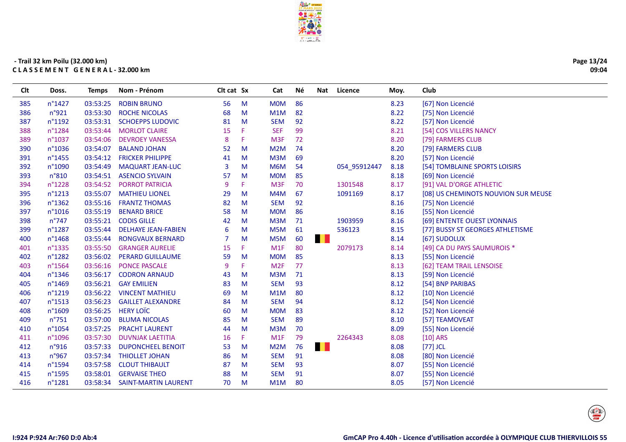

| Page 13/24 |
|------------|
| 09:04      |

| <b>CIt</b> | Doss.            | Temps    | Nom - Prénom                | Cit cat Sx |    | Cat             | Né. | Nat          | Licence      | Moy. | Club                                |
|------------|------------------|----------|-----------------------------|------------|----|-----------------|-----|--------------|--------------|------|-------------------------------------|
| 385        | n°1427           | 03:53:25 | <b>ROBIN BRUNO</b>          | 56         | M  | <b>MOM</b>      | 86  |              |              | 8.23 | [67] Non Licencié                   |
| 386        | n°921            | 03:53:30 | <b>ROCHE NICOLAS</b>        | 68         | M  | M1M             | 82  |              |              | 8.22 | [75] Non Licencié                   |
| 387        | n°1192           | 03:53:31 | <b>SCHOEPPS LUDOVIC</b>     | 81         | M  | <b>SEM</b>      | 92  |              |              | 8.22 | [57] Non Licencié                   |
| 388        | n°1284           | 03:53:44 | <b>MORLOT CLAIRE</b>        | 15         | F  | <b>SEF</b>      | 99  |              |              | 8.21 | [54] COS VILLERS NANCY              |
| 389        | n°1037           | 03:54:06 | <b>DEVROEY VANESSA</b>      | 8          | F  | M <sub>3F</sub> | 72  |              |              | 8.20 | [79] FARMERS CLUB                   |
| 390        | n°1036           | 03:54:07 | <b>BALAND JOHAN</b>         | 52         | M  | M2M             | 74  |              |              | 8.20 | [79] FARMERS CLUB                   |
| 391        | n°1455           | 03:54:12 | <b>FRICKER PHILIPPE</b>     | 41         | M  | M3M             | 69  |              |              | 8.20 | [57] Non Licencié                   |
| 392        | n°1090           | 03:54:49 | <b>MAQUART JEAN-LUC</b>     | 3          | M  | M6M             | 54  |              | 054_95912447 | 8.18 | [54] TOMBLAINE SPORTS LOISIRS       |
| 393        | n°810            | 03:54:51 | <b>ASENCIO SYLVAIN</b>      | 57         | M  | <b>MOM</b>      | 85  |              |              | 8.18 | [69] Non Licencié                   |
| 394        | n°1228           | 03:54:52 | <b>PORROT PATRICIA</b>      | 9          | F  | M <sub>3F</sub> | 70  |              | 1301548      | 8.17 | [91] VAL D'ORGE ATHLETIC            |
| 395        | n°1213           | 03:55:07 | <b>MATHIEU LIONEL</b>       | 29         | M  | M4M             | 67  |              | 1091169      | 8.17 | [08] US CHEMINOTS NOUVION SUR MEUSE |
| 396        | n°1362           | 03:55:16 | <b>FRANTZ THOMAS</b>        | 82         | M  | <b>SEM</b>      | 92  |              |              | 8.16 | [75] Non Licencié                   |
| 397        | n°1016           | 03:55:19 | <b>BENARD BRICE</b>         | 58         | M  | <b>MOM</b>      | 86  |              |              | 8.16 | [55] Non Licencié                   |
| 398        | $n^{\circ}747$   | 03:55:21 | <b>CODIS GILLE</b>          | 42         | M  | M3M             | 71  |              | 1903959      | 8.16 | [69] ENTENTE OUEST LYONNAIS         |
| 399        | n°1287           | 03:55:44 | <b>DELHAYE JEAN-FABIEN</b>  | 6          | M  | M5M             | 61  |              | 536123       | 8.15 | [77] BUSSY ST GEORGES ATHLETISME    |
| 400        | n°1468           | 03:55:44 | <b>RONGVAUX BERNARD</b>     | 7          | M  | M5M             | 60  | <b>THE R</b> |              | 8.14 | [67] SUDOLUX                        |
| 401        | n°1335           | 03:55:50 | <b>GRANGER AURELIE</b>      | 15         | F. | M1F             | 80  |              | 2079173      | 8.14 | [49] CA DU PAYS SAUMUROIS *         |
| 402        | n°1282           | 03:56:02 | <b>PERARD GUILLAUME</b>     | 59         | M  | <b>MOM</b>      | 85  |              |              | 8.13 | [55] Non Licencié                   |
| 403        | n°1564           | 03:56:16 | <b>PONCE PASCALE</b>        | 9          | F  | M <sub>2F</sub> | 77  |              |              | 8.13 | [62] TEAM TRAIL LENSOISE            |
| 404        | $n^{\circ}$ 1346 | 03:56:17 | <b>CODRON ARNAUD</b>        | 43         | M  | M3M             | 71  |              |              | 8.13 | [59] Non Licencié                   |
| 405        | n°1469           | 03:56:21 | <b>GAY EMILIEN</b>          | 83         | M  | <b>SEM</b>      | 93  |              |              | 8.12 | [54] BNP PARIBAS                    |
| 406        | n°1219           | 03:56:22 | <b>VINCENT MATHIEU</b>      | 69         | M  | M1M             | 80  |              |              | 8.12 | [10] Non Licencié                   |
| 407        | n°1513           | 03:56:23 | <b>GAILLET ALEXANDRE</b>    | 84         | M  | <b>SEM</b>      | 94  |              |              | 8.12 | [54] Non Licencié                   |
| 408        | n°1609           | 03:56:25 | <b>HERY LOTC</b>            | 60         | M  | <b>MOM</b>      | 83  |              |              | 8.12 | [52] Non Licencié                   |
| 409        | $n^{\circ}751$   | 03:57:00 | <b>BLUMA NICOLAS</b>        | 85         | M  | <b>SEM</b>      | 89  |              |              | 8.10 | [57] TEAMOVEAT                      |
| 410        | n°1054           | 03:57:25 | <b>PRACHT LAURENT</b>       | 44         | M  | M3M             | 70  |              |              | 8.09 | [55] Non Licencié                   |
| 411        | n°1096           | 03:57:30 | <b>DUVNJAK LAETITIA</b>     | 16         | F. | M1F             | 79  |              | 2264343      | 8.08 | $[10]$ ARS                          |
| 412        | n°916            | 03:57:33 | <b>DUPONCHEEL BENOIT</b>    | 53         | M  | M2M             | 76  | . .          |              | 8.08 | $[77]$ JCL                          |
| 413        | n°967            | 03:57:34 | <b>THIOLLET JOHAN</b>       | 86         | M  | <b>SEM</b>      | 91  |              |              | 8.08 | [80] Non Licencié                   |
| 414        | n°1594           | 03:57:58 | <b>CLOUT THIBAULT</b>       | 87         | M  | <b>SEM</b>      | 93  |              |              | 8.07 | [55] Non Licencié                   |
| 415        | n°1595           | 03:58:01 | <b>GERVAISE THEO</b>        | 88         | M  | <b>SEM</b>      | 91  |              |              | 8.07 | [55] Non Licencié                   |
| 416        | n°1281           | 03:58:34 | <b>SAINT-MARTIN LAURENT</b> | 70         | M  | M1M             | 80  |              |              | 8.05 | [57] Non Licencié                   |
|            |                  |          |                             |            |    |                 |     |              |              |      |                                     |

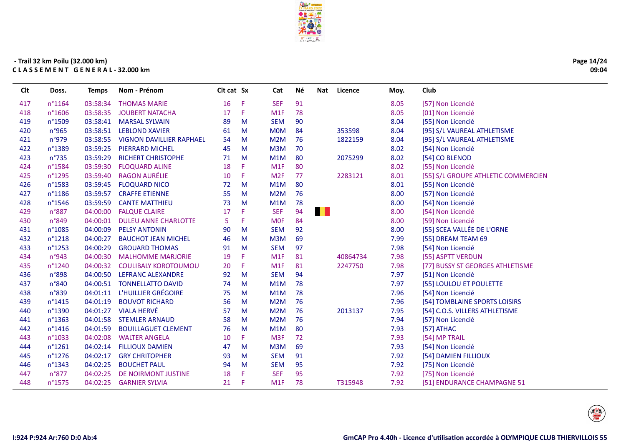

| Page 14/24 |
|------------|
| 09:04      |

| Clt | Doss.            | <b>Temps</b> | Nom - Prénom                    | Clt cat Sx |    | Cat              | Né | Nat  | Licence  | Moy. | Club                                |
|-----|------------------|--------------|---------------------------------|------------|----|------------------|----|------|----------|------|-------------------------------------|
| 417 | n°1164           | 03:58:34     | <b>THOMAS MARIE</b>             | 16         | F  | <b>SEF</b>       | 91 |      |          | 8.05 | [57] Non Licencié                   |
| 418 | n°1606           | 03:58:35     | <b>JOUBERT NATACHA</b>          | 17         | F. | M1F              | 78 |      |          | 8.05 | [01] Non Licencié                   |
| 419 | n°1509           | 03:58:41     | <b>MARSAL SYLVAIN</b>           | 89         | M  | <b>SEM</b>       | 90 |      |          | 8.04 | [55] Non Licencié                   |
| 420 | n°965            | 03:58:51     | <b>LEBLOND XAVIER</b>           | 61         | M  | <b>MOM</b>       | 84 |      | 353598   | 8.04 | [95] S/L VAUREAL ATHLETISME         |
| 421 | n°979            | 03:58:55     | <b>VIGNON DAVILLIER RAPHAEL</b> | 54         | M  | M2M              | 76 |      | 1822159  | 8.04 | [95] S/L VAUREAL ATHLETISME         |
| 422 | n°1389           | 03:59:25     | <b>PIERRARD MICHEL</b>          | 45         | M  | M3M              | 70 |      |          | 8.02 | [54] Non Licencié                   |
| 423 | $n^{\circ}$ 735  | 03:59:29     | <b>RICHERT CHRISTOPHE</b>       | 71         | M  | M1M              | 80 |      | 2075299  | 8.02 | [54] CO BLENOD                      |
| 424 | n°1584           | 03:59:30     | <b>FLOQUARD ALINE</b>           | 18         | F  | M1F              | 80 |      |          | 8.02 | [55] Non Licencié                   |
| 425 | n°1295           | 03:59:40     | <b>RAGON AURÉLIE</b>            | 10         | F. | M <sub>2F</sub>  | 77 |      | 2283121  | 8.01 | [55] S/L GROUPE ATHLETIC COMMERCIEN |
| 426 | n°1583           | 03:59:45     | <b>FLOQUARD NICO</b>            | 72         | M  | M1M              | 80 |      |          | 8.01 | [55] Non Licencié                   |
| 427 | n°1186           | 03:59:57     | <b>CRAFFE ETIENNE</b>           | 55         | M  | M2M              | 76 |      |          | 8.00 | [57] Non Licencié                   |
| 428 | n°1546           | 03:59:59     | <b>CANTE MATTHIEU</b>           | 73         | M  | M1M              | 78 |      |          | 8.00 | [54] Non Licencié                   |
| 429 | n°887            | 04:00:00     | <b>FALQUE CLAIRE</b>            | 17         | F  | <b>SEF</b>       | 94 | a sa |          | 8.00 | [54] Non Licencié                   |
| 430 | $n^{\circ}849$   | 04:00:01     | <b>DULEU ANNE CHARLOTTE</b>     | 5.         | F. | <b>MOF</b>       | 84 |      |          | 8.00 | [59] Non Licencié                   |
| 431 | n°1085           | 04:00:09     | <b>PELSY ANTONIN</b>            | 90         | M  | <b>SEM</b>       | 92 |      |          | 8.00 | [55] SCEA VALLÉE DE L'ORNE          |
| 432 | n°1218           | 04:00:27     | <b>BAUCHOT JEAN MICHEL</b>      | 46         | M  | M3M              | 69 |      |          | 7.99 | [55] DREAM TEAM 69                  |
| 433 | $n^{\circ}1253$  | 04:00:29     | <b>GROUARD THOMAS</b>           | 91         | M  | <b>SEM</b>       | 97 |      |          | 7.98 | [54] Non Licencié                   |
| 434 | n°943            | 04:00:30     | <b>MALHOMME MARJORIE</b>        | 19         | F  | M <sub>1</sub> F | 81 |      | 40864734 | 7.98 | [55] ASPTT VERDUN                   |
| 435 | n°1240           | 04:00:32     | <b>COULIBALY KOROTOUMOU</b>     | 20         | F  | M <sub>1</sub> F | 81 |      | 2247750  | 7.98 | [77] BUSSY ST GEORGES ATHLETISME    |
| 436 | n°898            | 04:00:50     | <b>LEFRANC ALEXANDRE</b>        | 92         | M  | <b>SEM</b>       | 94 |      |          | 7.97 | [51] Non Licencié                   |
| 437 | n°840            | 04:00:51     | <b>TONNELLATTO DAVID</b>        | 74         | M  | M1M              | 78 |      |          | 7.97 | [55] LOULOU ET POULETTE             |
| 438 | n°839            | 04:01:11     | L'HUILLIER GRÉGOIRE             | 75         | M  | M1M              | 78 |      |          | 7.96 | [54] Non Licencié                   |
| 439 | $n^{\circ}$ 1415 | 04:01:19     | <b>BOUVOT RICHARD</b>           | 56         | M  | M2M              | 76 |      |          | 7.96 | [54] TOMBLAINE SPORTS LOISIRS       |
| 440 | n°1390           | 04:01:27     | <b>VIALA HERVÉ</b>              | 57         | M  | M2M              | 76 |      | 2013137  | 7.95 | [54] C.O.S. VILLERS ATHLETISME      |
| 441 | n°1363           | 04:01:58     | <b>STEMLER ARNAUD</b>           | 58         | M  | M2M              | 76 |      |          | 7.94 | [57] Non Licencié                   |
| 442 | $n^{\circ}$ 1416 | 04:01:59     | <b>BOUILLAGUET CLEMENT</b>      | 76         | M  | M1M              | 80 |      |          | 7.93 | [57] ATHAC                          |
| 443 | n°1033           | 04:02:08     | <b>WALTER ANGELA</b>            | 10         | F. | M <sub>3F</sub>  | 72 |      |          | 7.93 | [54] MP TRAIL                       |
| 444 | n°1261           | 04:02:14     | <b>FILLIOUX DAMIEN</b>          | 47         | M  | M3M              | 69 |      |          | 7.93 | [54] Non Licencié                   |
| 445 | n°1276           | 04:02:17     | <b>GRY CHRITOPHER</b>           | 93         | M  | <b>SEM</b>       | 91 |      |          | 7.92 | [54] DAMIEN FILLIOUX                |
| 446 | n°1343           | 04:02:25     | <b>BOUCHET PAUL</b>             | 94         | M  | <b>SEM</b>       | 95 |      |          | 7.92 | [75] Non Licencié                   |
| 447 | $n^{\circ}877$   | 04:02:25     | DE NOIRMONT JUSTINE             | 18         | F  | <b>SEF</b>       | 95 |      |          | 7.92 | [75] Non Licencié                   |
| 448 | n°1575           | 04:02:25     | <b>GARNIER SYLVIA</b>           | 21         | Æ  | M <sub>1</sub> F | 78 |      | T315948  | 7.92 | [51] ENDURANCE CHAMPAGNE 51         |

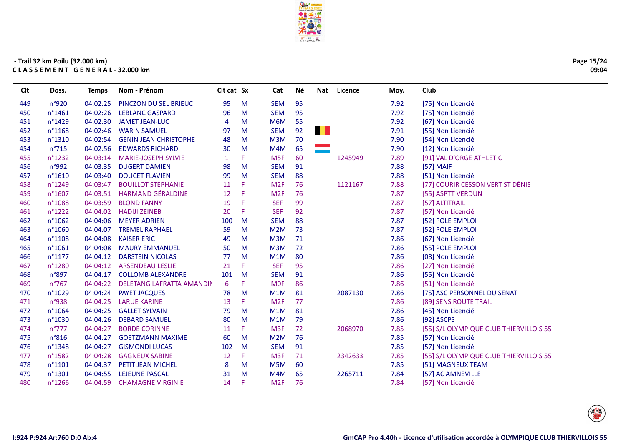

| Page 15/24 |
|------------|
| 09:04      |

| CIt | Doss.            | Temps    | Nom - Prénom                 | Cit cat Sx |    | Cat              | Né | Nat | Licence | Moy. | Club                                    |
|-----|------------------|----------|------------------------------|------------|----|------------------|----|-----|---------|------|-----------------------------------------|
| 449 | n°920            | 04:02:25 | PINCZON DU SEL BRIEUC        | 95         | M  | <b>SEM</b>       | 95 |     |         | 7.92 | [75] Non Licencié                       |
| 450 | n°1461           | 04:02:26 | <b>LEBLANC GASPARD</b>       | 96         | M  | <b>SEM</b>       | 95 |     |         | 7.92 | [75] Non Licencié                       |
| 451 | n°1429           | 04:02:30 | <b>JAMET JEAN-LUC</b>        | 4          | M  | M6M              | 55 |     |         | 7.92 | [67] Non Licencié                       |
| 452 | n°1168           | 04:02:46 | <b>WARIN SAMUEL</b>          | 97         | M  | <b>SEM</b>       | 92 | a l |         | 7.91 | [55] Non Licencié                       |
| 453 | n°1310           | 04:02:54 | <b>GENIN JEAN CHRISTOPHE</b> | 48         | M  | M3M              | 70 |     |         | 7.90 | [54] Non Licencié                       |
| 454 | $n^{\circ}715$   | 04:02:56 | <b>EDWARDS RICHARD</b>       | 30         | M  | M4M              | 65 |     |         | 7.90 | [12] Non Licencié                       |
| 455 | n°1232           | 04:03:14 | <b>MARIE-JOSEPH SYLVIE</b>   | -1         | F  | M <sub>5F</sub>  | 60 |     | 1245949 | 7.89 | [91] VAL D'ORGE ATHLETIC                |
| 456 | n°992            | 04:03:35 | <b>DUGERT DAMIEN</b>         | 98         | M  | <b>SEM</b>       | 91 |     |         | 7.88 | [57] MAIF                               |
| 457 | n°1610           | 04:03:40 | <b>DOUCET FLAVIEN</b>        | 99         | M  | <b>SEM</b>       | 88 |     |         | 7.88 | [51] Non Licencié                       |
| 458 | n°1249           | 04:03:47 | <b>BOUILLOT STEPHANIE</b>    | 11         | F  | M <sub>2F</sub>  | 76 |     | 1121167 | 7.88 | [77] COURIR CESSON VERT ST DÉNIS        |
| 459 | n°1607           | 04:03:51 | <b>HARMAND GÉRALDINE</b>     | 12         | F  | M <sub>2F</sub>  | 76 |     |         | 7.87 | [55] ASPTT VERDUN                       |
| 460 | n°1088           | 04:03:59 | <b>BLOND FANNY</b>           | 19         | F  | <b>SEF</b>       | 99 |     |         | 7.87 | [57] ALTITRAIL                          |
| 461 | n°1222           | 04:04:02 | <b>HADIJI ZEINEB</b>         | 20         | F  | <b>SEF</b>       | 92 |     |         | 7.87 | [57] Non Licencié                       |
| 462 | n°1062           | 04:04:06 | <b>MEYER ADRIEN</b>          | 100        | M  | <b>SEM</b>       | 88 |     |         | 7.87 | [52] POLE EMPLOI                        |
| 463 | n°1060           | 04:04:07 | <b>TREMEL RAPHAEL</b>        | 59         | M  | M2M              | 73 |     |         | 7.87 | [52] POLE EMPLOI                        |
| 464 | n°1108           | 04:04:08 | <b>KAISER ERIC</b>           | 49         | M  | M3M              | 71 |     |         | 7.86 | [67] Non Licencié                       |
| 465 | n°1061           | 04:04:08 | <b>MAURY EMMANUEL</b>        | 50         | M  | M3M              | 72 |     |         | 7.86 | [55] POLE EMPLOI                        |
| 466 | $n^{\circ}1177$  | 04:04:12 | <b>DARSTEIN NICOLAS</b>      | 77         | M  | M1M              | 80 |     |         | 7.86 | [08] Non Licencié                       |
| 467 | n°1280           | 04:04:12 | <b>ARSENDEAU LESLIE</b>      | 21         | F  | <b>SEF</b>       | 95 |     |         | 7.86 | [27] Non Licencié                       |
| 468 | n°897            | 04:04:17 | <b>COLLOMB ALEXANDRE</b>     | 101        | M  | <b>SEM</b>       | 91 |     |         | 7.86 | [55] Non Licencié                       |
| 469 | n°767            | 04:04:22 | DELETANG LAFRATTA AMANDIN    | 6          | F  | <b>MOF</b>       | 86 |     |         | 7.86 | [51] Non Licencié                       |
| 470 | n°1029           | 04:04:24 | PAYET JACQUES                | 78         | M  | M1M              | 81 |     | 2087130 | 7.86 | [75] ASC PERSONNEL DU SENAT             |
| 471 | n°938            | 04:04:25 | <b>LARUE KARINE</b>          | 13         | F. | M <sub>2F</sub>  | 77 |     |         | 7.86 | [89] SENS ROUTE TRAIL                   |
| 472 | n°1064           | 04:04:25 | <b>GALLET SYLVAIN</b>        | 79         | M  | M1M              | 81 |     |         | 7.86 | [45] Non Licencié                       |
| 473 | n°1030           | 04:04:26 | <b>DEBARD SAMUEL</b>         | 80         | M  | M1M              | 79 |     |         | 7.86 | [92] ASCPS                              |
| 474 | $n^{\circ}777$   | 04:04:27 | <b>BORDE CORINNE</b>         | 11         | F  | M <sub>3F</sub>  | 72 |     | 2068970 | 7.85 | [55] S/L OLYMPIQUE CLUB THIERVILLOIS 55 |
| 475 | n°816            | 04:04:27 | <b>GOETZMANN MAXIME</b>      | 60         | M  | M2M              | 76 |     |         | 7.85 | [57] Non Licencié                       |
| 476 | n°1348           | 04:04:27 | <b>GISMONDI LUCAS</b>        | 102        | M  | <b>SEM</b>       | 91 |     |         | 7.85 | [57] Non Licencié                       |
| 477 | n°1582           | 04:04:28 | <b>GAGNEUX SABINE</b>        | 12         | F  | M <sub>3F</sub>  | 71 |     | 2342633 | 7.85 | [55] S/L OLYMPIQUE CLUB THIERVILLOIS 55 |
| 478 | n°1101           | 04:04:37 | PETIT JEAN MICHEL            | 8          | M  | M <sub>5</sub> M | 60 |     |         | 7.85 | [51] MAGNEUX TEAM                       |
| 479 | n°1301           | 04:04:55 | LEJEUNE PASCAL               | 31         | M  | M4M              | 65 |     | 2265711 | 7.84 | [57] AC AMNEVILLE                       |
| 480 | $n^{\circ}$ 1266 | 04:04:59 | <b>CHAMAGNE VIRGINIE</b>     | 14         | F. | M <sub>2F</sub>  | 76 |     |         | 7.84 | [57] Non Licencié                       |
|     |                  |          |                              |            |    |                  |    |     |         |      |                                         |

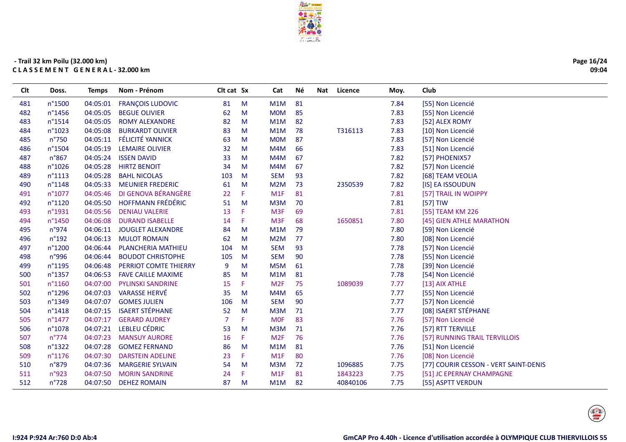

| Page 16/24 |
|------------|
| 09:04      |

| <b>CIt</b> | Doss.           | Temps    | Nom - Prénom              | Cit cat Sx     |    | Cat              | Né | Nat | Licence  | Moy. | Club                                  |
|------------|-----------------|----------|---------------------------|----------------|----|------------------|----|-----|----------|------|---------------------------------------|
| 481        | n°1500          | 04:05:01 | <b>FRANÇOIS LUDOVIC</b>   | 81             | M  | M1M              | 81 |     |          | 7.84 | [55] Non Licencié                     |
| 482        | n°1456          | 04:05:05 | <b>BEGUE OLIVIER</b>      | 62             | M  | <b>MOM</b>       | 85 |     |          | 7.83 | [55] Non Licencié                     |
| 483        | n°1514          | 04:05:05 | <b>ROMY ALEXANDRE</b>     | 82             | M  | M1M              | 82 |     |          | 7.83 | [52] ALEX ROMY                        |
| 484        | n°1023          | 04:05:08 | <b>BURKARDT OLIVIER</b>   | 83             | M  | M1M              | 78 |     | T316113  | 7.83 | [10] Non Licencié                     |
| 485        | n°750           | 04:05:11 | <b>FÉLICITÉ YANNICK</b>   | 63             | M  | <b>MOM</b>       | 87 |     |          | 7.83 | [57] Non Licencié                     |
| 486        | n°1504          | 04:05:19 | <b>LEMAIRE OLIVIER</b>    | 32             | M  | M4M              | 66 |     |          | 7.83 | [51] Non Licencié                     |
| 487        | n°867           | 04:05:24 | <b>ISSEN DAVID</b>        | 33             | M  | M4M              | 67 |     |          | 7.82 | [57] PHOENIX57                        |
| 488        | $n^{\circ}1026$ | 04:05:28 | <b>HIRTZ BENOIT</b>       | 34             | M  | M4M              | 67 |     |          | 7.82 | [57] Non Licencié                     |
| 489        | n°1113          | 04:05:28 | <b>BAHL NICOLAS</b>       | 103            | M  | <b>SEM</b>       | 93 |     |          | 7.82 | [68] TEAM VEOLIA                      |
| 490        | n°1148          | 04:05:33 | <b>MEUNIER FREDERIC</b>   | 61             | M  | M2M              | 73 |     | 2350539  | 7.82 | [IS] EA ISSOUDUN                      |
| 491        | n°1077          | 04:05:46 | DI GENOVA BÉRANGÈRE       | 22             | F  | M <sub>1</sub> F | 81 |     |          | 7.81 | [57] TRAIL IN WOIPPY                  |
| 492        | n°1120          | 04:05:50 | <b>HOFFMANN FRÉDÉRIC</b>  | 51             | M  | M3M              | 70 |     |          | 7.81 | [57] TIW                              |
| 493        | n°1931          | 04:05:56 | <b>DENIAU VALERIE</b>     | 13             | F  | M <sub>3F</sub>  | 69 |     |          | 7.81 | [55] TEAM KM 226                      |
| 494        | n°1450          | 04:06:08 | <b>DURAND ISABELLE</b>    | 14             | F  | M <sub>3F</sub>  | 68 |     | 1650851  | 7.80 | [45] GIEN ATHLE MARATHON              |
| 495        | n°974           | 04:06:11 | <b>JOUGLET ALEXANDRE</b>  | 84             | M  | M1M              | 79 |     |          | 7.80 | [59] Non Licencié                     |
| 496        | $n^{\circ}$ 192 | 04:06:13 | <b>MULOT ROMAIN</b>       | 62             | M  | M <sub>2</sub> M | 77 |     |          | 7.80 | [08] Non Licencié                     |
| 497        | n°1200          | 04:06:44 | <b>PLANCHERIA MATHIEU</b> | 104            | M  | <b>SEM</b>       | 93 |     |          | 7.78 | [57] Non Licencié                     |
| 498        | n°996           | 04:06:44 | <b>BOUDOT CHRISTOPHE</b>  | 105            | M  | <b>SEM</b>       | 90 |     |          | 7.78 | [55] Non Licencié                     |
| 499        | n°1195          | 04:06:48 | PERRIOT COMTE THIERRY     | 9              | M  | M <sub>5</sub> M | 61 |     |          | 7.78 | [39] Non Licencié                     |
| 500        | n°1357          | 04:06:53 | <b>FAVE CAILLE MAXIME</b> | 85             | M  | M1M              | 81 |     |          | 7.78 | [54] Non Licencié                     |
| 501        | n°1160          | 04:07:00 | <b>PYLINSKI SANDRINE</b>  | 15             | F  | M <sub>2F</sub>  | 75 |     | 1089039  | 7.77 | [13] AIX ATHLE                        |
| 502        | n°1296          | 04:07:03 | <b>VARASSE HERVÉ</b>      | 35             | M  | M4M              | 65 |     |          | 7.77 | [55] Non Licencié                     |
| 503        | n°1349          | 04:07:07 | <b>GOMES JULIEN</b>       | 106            | M  | <b>SEM</b>       | 90 |     |          | 7.77 | [57] Non Licencié                     |
| 504        | n°1418          | 04:07:15 | <b>ISAERT STÉPHANE</b>    | 52             | M  | M3M              | 71 |     |          | 7.77 | [08] ISAERT STÉPHANE                  |
| 505        | n°1477          | 04:07:17 | <b>GERARD AUDREY</b>      | $\overline{7}$ | F  | <b>MOF</b>       | 83 |     |          | 7.76 | [57] Non Licencié                     |
| 506        | n°1078          | 04:07:21 | <b>LEBLEU CÉDRIC</b>      | 53             | M  | M3M              | 71 |     |          | 7.76 | [57] RTT TERVILLE                     |
| 507        | $n^{\circ}774$  | 04:07:23 | <b>MANSUY AURORE</b>      | 16             | F. | M <sub>2F</sub>  | 76 |     |          | 7.76 | [57] RUNNING TRAIL TERVILLOIS         |
| 508        | n°1322          | 04:07:28 | <b>GOMEZ FERNAND</b>      | 86             | M  | M1M              | 81 |     |          | 7.76 | [51] Non Licencié                     |
| 509        | n°1176          | 04:07:30 | <b>DARSTEIN ADELINE</b>   | 23             | F. | M <sub>1</sub> F | 80 |     |          | 7.76 | [08] Non Licencié                     |
| 510        | n°879           | 04:07:36 | <b>MARGERIE SYLVAIN</b>   | 54             | M  | M <sub>3</sub> M | 72 |     | 1096885  | 7.75 | [77] COURIR CESSON - VERT SAINT-DENIS |
| 511        | n°923           | 04:07:50 | <b>MORIN SANDRINE</b>     | 24             | F  | M1F              | 81 |     | 1843223  | 7.75 | [51] JC EPERNAY CHAMPAGNE             |
| 512        | n°728           | 04:07:50 | <b>DEHEZ ROMAIN</b>       | 87             | M  | M1M              | 82 |     | 40840106 | 7.75 | [55] ASPTT VERDUN                     |
|            |                 |          |                           |                |    |                  |    |     |          |      |                                       |

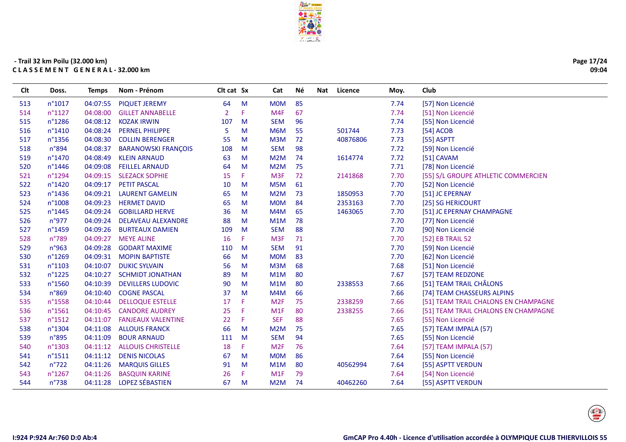

| Page 17/24 |
|------------|
| 09:04      |

| <b>CIt</b> | Doss.            | Temps    | Nom - Prénom               | Cit cat Sx     |    | Cat             | Né | Nat<br>Licence | Moy. | Club                                 |
|------------|------------------|----------|----------------------------|----------------|----|-----------------|----|----------------|------|--------------------------------------|
| 513        | $n^{\circ}1017$  | 04:07:55 | <b>PIQUET JEREMY</b>       | 64             | M  | <b>MOM</b>      | 85 |                | 7.74 | [57] Non Licencié                    |
| 514        | $n^{\circ}1127$  | 04:08:00 | <b>GILLET ANNABELLE</b>    | $\overline{2}$ | F  | M4F             | 67 |                | 7.74 | [51] Non Licencié                    |
| 515        | $n^{\circ}$ 1286 | 04:08:12 | <b>KOZAK IRWIN</b>         | 107            | M  | <b>SEM</b>      | 96 |                | 7.74 | [55] Non Licencié                    |
| 516        | $n^{\circ}1410$  | 04:08:24 | <b>PERNEL PHILIPPE</b>     | 5              | M  | M6M             | 55 | 501744         | 7.73 | [54] ACOB                            |
| 517        | n°1356           | 04:08:30 | <b>COLLIN BERENGER</b>     | 55             | M  | M3M             | 72 | 40876806       | 7.73 | [55] ASPTT                           |
| 518        | n°894            | 04:08:37 | <b>BARANOWSKI FRANÇOIS</b> | 108            | M  | <b>SEM</b>      | 98 |                | 7.72 | [59] Non Licencié                    |
| 519        | n°1470           | 04:08:49 | <b>KLEIN ARNAUD</b>        | 63             | M  | M2M             | 74 | 1614774        | 7.72 | [51] CAVAM                           |
| 520        | $n^{\circ}$ 1446 | 04:09:08 | <b>FEILLEL ARNAUD</b>      | 64             | M  | M2M             | 75 |                | 7.71 | [78] Non Licencié                    |
| 521        | n°1294           |          | 04:09:15 SLEZACK SOPHIE    | 15             | F. | M <sub>3F</sub> | 72 | 2141868        | 7.70 | [55] S/L GROUPE ATHLETIC COMMERCIEN  |
| 522        | n°1420           | 04:09:17 | <b>PETIT PASCAL</b>        | 10             | M  | M5M             | 61 |                | 7.70 | [52] Non Licencié                    |
| 523        | $n^{\circ}$ 1436 | 04:09:21 | <b>LAURENT GAMELIN</b>     | 65             | M  | M2M             | 73 | 1850953        | 7.70 | [51] JC EPERNAY                      |
| 524        | n°1008           | 04:09:23 | <b>HERMET DAVID</b>        | 65             | M  | <b>MOM</b>      | 84 | 2353163        | 7.70 | [25] SG HERICOURT                    |
| 525        | n°1445           | 04:09:24 | <b>GOBILLARD HERVE</b>     | 36             | M  | M4M             | 65 | 1463065        | 7.70 | [51] JC EPERNAY CHAMPAGNE            |
| 526        | n°977            | 04:09:24 | <b>DELAVEAU ALEXANDRE</b>  | 88             | M  | M1M             | 78 |                | 7.70 | [77] Non Licencié                    |
| 527        | n°1459           | 04:09:26 | <b>BURTEAUX DAMIEN</b>     | 109            | M  | <b>SEM</b>      | 88 |                | 7.70 | [90] Non Licencié                    |
| 528        | $n^{\circ}789$   | 04:09:27 | <b>MEYE ALINE</b>          | 16             | F. | M <sub>3F</sub> | 71 |                | 7.70 | [52] EB TRAIL 52                     |
| 529        | n°963            | 04:09:28 | <b>GODART MAXIME</b>       | 110            | M  | <b>SEM</b>      | 91 |                | 7.70 | [59] Non Licencié                    |
| 530        | n°1269           | 04:09:31 | <b>MOPIN BAPTISTE</b>      | 66             | M  | <b>MOM</b>      | 83 |                | 7.70 | [62] Non Licencié                    |
| 531        | n°1103           | 04:10:07 | <b>DUKIC SYLVAIN</b>       | 56             | M  | M3M             | 68 |                | 7.68 | [51] Non Licencié                    |
| 532        | $n^{\circ}1225$  | 04:10:27 | <b>SCHMIDT JONATHAN</b>    | 89             | M  | M1M             | 80 |                | 7.67 | [57] TEAM REDZONE                    |
| 533        | n°1560           | 04:10:39 | <b>DEVILLERS LUDOVIC</b>   | 90             | M  | M1M             | 80 | 2338553        | 7.66 | [51] TEAM TRAIL CHÂLONS              |
| 534        | n°869            | 04:10:40 | <b>COGNE PASCAL</b>        | 37             | M  | M4M             | 66 |                | 7.66 | [74] TEAM CHASSEURS ALPINS           |
| 535        | n°1558           | 04:10:44 | <b>DELLOQUE ESTELLE</b>    | 17             | F. | M <sub>2F</sub> | 75 | 2338259        | 7.66 | [51] TEAM TRAIL CHALONS EN CHAMPAGNE |
| 536        | $n^{\circ}$ 1561 | 04:10:45 | <b>CANDORE AUDREY</b>      | 25             | F  | M1F             | 80 | 2338255        | 7.66 | [51] TEAM TRAIL CHALONS EN CHAMPAGNE |
| 537        | $n^{\circ}$ 1512 | 04:11:07 | <b>FANJEAUX VALENTINE</b>  | 22             | F  | <b>SEF</b>      | 88 |                | 7.65 | [55] Non Licencié                    |
| 538        | n°1304           | 04:11:08 | <b>ALLOUIS FRANCK</b>      | 66             | M  | M2M             | 75 |                | 7.65 | [57] TEAM IMPALA (57)                |
| 539        | n°895            | 04:11:09 | <b>BOUR ARNAUD</b>         | 111            | M  | <b>SEM</b>      | 94 |                | 7.65 | [55] Non Licencié                    |
| 540        | n°1303           | 04:11:12 | <b>ALLOUIS CHRISTELLE</b>  | 18             | F. | M <sub>2F</sub> | 76 |                | 7.64 | [57] TEAM IMPALA (57)                |
| 541        | n°1511           | 04:11:12 | <b>DENIS NICOLAS</b>       | 67             | M  | <b>MOM</b>      | 86 |                | 7.64 | [55] Non Licencié                    |
| 542        | $n^{\circ}$ 722  | 04:11:26 | <b>MARQUIS GILLES</b>      | 91             | M  | M1M             | 80 | 40562994       | 7.64 | [55] ASPTT VERDUN                    |
| 543        | n°1267           | 04:11:26 | <b>BASQUIN KARINE</b>      | 26             | F. | M1F             | 79 |                | 7.64 | [54] Non Licencié                    |
| 544        | $n^{\circ}738$   | 04:11:28 | <b>LOPEZ SÉBASTIEN</b>     | 67             | M  | M2M             | 74 | 40462260       | 7.64 | [55] ASPTT VERDUN                    |
|            |                  |          |                            |                |    |                 |    |                |      |                                      |

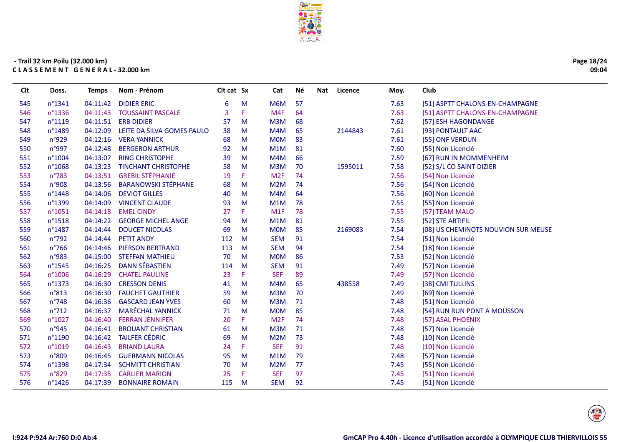

| Page 18/24 |
|------------|
| 09:04      |

| Clt | Doss.          | <b>Temps</b> | Nom - Prénom               | Clt cat Sx |    | Cat              | Né | Nat | Licence | Moy. | Club                                |
|-----|----------------|--------------|----------------------------|------------|----|------------------|----|-----|---------|------|-------------------------------------|
| 545 | n°1341         | 04:11:42     | <b>DIDIER ERIC</b>         | 6          | M  | M6M              | 57 |     |         | 7.63 | [51] ASPTT CHALONS-EN-CHAMPAGNE     |
| 546 | n°1336         | 04:11:43     | <b>TOUSSAINT PASCALE</b>   | 3          | F. | M4F              | 64 |     |         | 7.63 | [51] ASPTT CHALONS-EN-CHAMPAGNE     |
| 547 | n°1119         | 04:11:51     | <b>ERB DIDIER</b>          | 57         | M  | M3M              | 68 |     |         | 7.62 | [57] ESH HAGONDANGE                 |
| 548 | n°1489         | 04:12:09     | LEITE DA SILVA GOMES PAULO | 38         | M  | M4M              | 65 |     | 2144843 | 7.61 | [93] PONTAULT AAC                   |
| 549 | n°929          | 04:12:16     | <b>VERA YANNICK</b>        | 68         | M  | <b>MOM</b>       | 83 |     |         | 7.61 | [55] ONF VERDUN                     |
| 550 | n°997          | 04:12:48     | <b>BERGERON ARTHUR</b>     | 92         | M  | M1M              | 81 |     |         | 7.60 | [55] Non Licencié                   |
| 551 | n°1004         | 04:13:07     | <b>RING CHRISTOPHE</b>     | 39         | M  | M <sub>4</sub> M | 66 |     |         | 7.59 | [67] RUN IN MOMMENHEIM              |
| 552 | n°1068         | 04:13:23     | <b>TINCHANT CHRISTOPHE</b> | 58         | M  | M <sub>3</sub> M | 70 |     | 1595011 | 7.58 | [52] S/L CO SAINT-DIZIER            |
| 553 | n°783          | 04:13:51     | <b>GREBIL STÉPHANIE</b>    | 19         | F. | M2F              | 74 |     |         | 7.56 | [54] Non Licencié                   |
| 554 | n°908          | 04:13:56     | <b>BARANOWSKI STÉPHANE</b> | 68         | M  | M <sub>2</sub> M | 74 |     |         | 7.56 | [54] Non Licencié                   |
| 555 | n°1448         | 04:14:06     | <b>DEVIOT GILLES</b>       | 40         | M  | M4M              | 64 |     |         | 7.56 | [60] Non Licencié                   |
| 556 | n°1399         | 04:14:09     | <b>VINCENT CLAUDE</b>      | 93         | M  | M1M              | 78 |     |         | 7.55 | [55] Non Licencié                   |
| 557 | n°1051         | 04:14:18     | <b>EMEL CINDY</b>          | 27         | F. | M1F              | 78 |     |         | 7.55 | [57] TEAM MALO                      |
| 558 | n°1518         | 04:14:22     | <b>GEORGE MICHEL ANGE</b>  | 94         | M  | M1M              | 81 |     |         | 7.55 | [52] STE ARTIFIL                    |
| 559 | n°1487         | 04:14:44     | <b>DOUCET NICOLAS</b>      | 69         | M  | <b>MOM</b>       | 85 |     | 2169083 | 7.54 | [08] US CHEMINOTS NOUVION SUR MEUSE |
| 560 | $n^{\circ}792$ | 04:14:44     | <b>PETIT ANDY</b>          | 112        | M  | <b>SEM</b>       | 91 |     |         | 7.54 | [51] Non Licencié                   |
| 561 | $n^{\circ}766$ | 04:14:46     | <b>PIERSON BERTRAND</b>    | 113        | M  | <b>SEM</b>       | 94 |     |         | 7.54 | [18] Non Licencié                   |
| 562 | n°983          | 04:15:00     | <b>STEFFAN MATHIEU</b>     | 70         | M  | <b>MOM</b>       | 86 |     |         | 7.53 | [52] Non Licencié                   |
| 563 | n°1545         | 04:16:25     | <b>DANN SÉBASTIEN</b>      | 114        | M  | <b>SEM</b>       | 91 |     |         | 7.49 | [57] Non Licencié                   |
| 564 | n°1006         | 04:16:29     | <b>CHATEL PAULINE</b>      | 23         | F. | <b>SEF</b>       | 89 |     |         | 7.49 | [57] Non Licencié                   |
| 565 | n°1373         | 04:16:30     | <b>CRESSON DENIS</b>       | 41         | M  | M <sub>4</sub> M | 65 |     | 438558  | 7.49 | [38] CMI TULLINS                    |
| 566 | n°813          | 04:16:30     | <b>FAUCHET GAUTHIER</b>    | 59         | M  | M <sub>3</sub> M | 70 |     |         | 7.49 | [69] Non Licencié                   |
| 567 | $n^{\circ}748$ | 04:16:36     | <b>GASCARD JEAN YVES</b>   | 60         | M  | M3M              | 71 |     |         | 7.48 | [51] Non Licencié                   |
| 568 | $n^{\circ}712$ | 04:16:37     | <b>MARÉCHAL YANNICK</b>    | 71         | M  | <b>MOM</b>       | 85 |     |         | 7.48 | [54] RUN RUN PONT A MOUSSON         |
| 569 | n°1027         | 04:16:40     | <b>FERRAN JENNIFER</b>     | 20         | F. | M2F              | 74 |     |         | 7.48 | [57] ASAL PHOENIX                   |
| 570 | n°945          | 04:16:41     | <b>BROUANT CHRISTIAN</b>   | 61         | M  | M3M              | 71 |     |         | 7.48 | [57] Non Licencié                   |
| 571 | n°1190         | 04:16:42     | <b>TAILFER CÉDRIC</b>      | 69         | M  | M2M              | 73 |     |         | 7.48 | [10] Non Licencié                   |
| 572 | n°1019         | 04:16:43     | <b>BRIAND LAURA</b>        | 24         | F. | <b>SEF</b>       | 91 |     |         | 7.48 | [10] Non Licencié                   |
| 573 | n°809          | 04:16:45     | <b>GUERMANN NICOLAS</b>    | 95         | M  | M1M              | 79 |     |         | 7.48 | [57] Non Licencié                   |
| 574 | n°1398         | 04:17:34     | <b>SCHMITT CHRISTIAN</b>   | 70         | M  | M2M              | 77 |     |         | 7.45 | [55] Non Licencié                   |
| 575 | n°829          | 04:17:35     | <b>CARLIER MARION</b>      | 25         | F  | <b>SEF</b>       | 97 |     |         | 7.45 | [51] Non Licencié                   |
| 576 | n°1426         | 04:17:39     | <b>BONNAIRE ROMAIN</b>     | 115        | M  | <b>SEM</b>       | 92 |     |         | 7.45 | [51] Non Licencié                   |
|     |                |              |                            |            |    |                  |    |     |         |      |                                     |

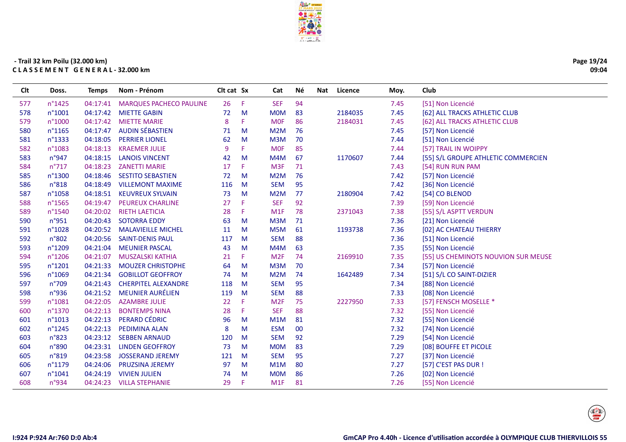

| Page 19/24 |
|------------|
| 09:04      |

| CIt | Doss.           | Temps    | Nom - Prénom                   | Cit cat Sx |    | Cat              | Né     | Licence<br>Nat |         | Moy. | Club                                |
|-----|-----------------|----------|--------------------------------|------------|----|------------------|--------|----------------|---------|------|-------------------------------------|
| 577 | n°1425          | 04:17:41 | <b>MARQUES PACHECO PAULINE</b> | 26         | -F | <b>SEF</b>       | 94     |                |         | 7.45 | [51] Non Licencié                   |
| 578 | $n^{\circ}1001$ | 04:17:42 | <b>MIETTE GABIN</b>            | 72         | M  | <b>MOM</b>       | 83     | 2184035        |         | 7.45 | [62] ALL TRACKS ATHLETIC CLUB       |
| 579 | n°1000          | 04:17:42 | <b>MIETTE MARIE</b>            | 8          | F. | <b>MOF</b>       | 86     | 2184031        |         | 7.45 | [62] ALL TRACKS ATHLETIC CLUB       |
| 580 | n°1165          | 04:17:47 | <b>AUDIN SÉBASTIEN</b>         | 71         | M  | M2M              | 76     |                |         | 7.45 | [57] Non Licencié                   |
| 581 | n°1333          | 04:18:05 | <b>PERRIER LIONEL</b>          | 62         | M  | M3M              | 70     |                |         | 7.44 | [51] Non Licencié                   |
| 582 | n°1083          | 04:18:13 | <b>KRAEMER JULIE</b>           | 9          | F  | <b>MOF</b>       | 85     |                |         | 7.44 | [57] TRAIL IN WOIPPY                |
| 583 | n°947           | 04:18:15 | <b>LANOIS VINCENT</b>          | 42         | M  | M4M              | 67     | 1170607        |         | 7.44 | [55] S/L GROUPE ATHLETIC COMMERCIEN |
| 584 | $n^{\circ}717$  | 04:18:23 | <b>ZANETTI MARIE</b>           | 17         | F  | M <sub>3F</sub>  | 71     |                |         | 7.43 | [54] RUN RUN PAM                    |
| 585 | n°1300          | 04:18:46 | <b>SESTITO SEBASTIEN</b>       | 72         | M  | M2M              | 76     |                |         | 7.42 | [57] Non Licencié                   |
| 586 | n°818           | 04:18:49 | <b>VILLEMONT MAXIME</b>        | 116        | M  | <b>SEM</b>       | 95     |                |         | 7.42 | [36] Non Licencié                   |
| 587 | n°1058          | 04:18:51 | <b>KEUVREUX SYLVAIN</b>        | 73         | M  | M2M              | 77     | 2180904        |         | 7.42 | [54] CO BLENOD                      |
| 588 | n°1565          | 04:19:47 | <b>PEUREUX CHARLINE</b>        | 27         | F  | <b>SEF</b>       | 92     |                |         | 7.39 | [59] Non Licencié                   |
| 589 | n°1540          | 04:20:02 | <b>RIETH LAETICIA</b>          | 28         | F  | M <sub>1</sub> F | 78     | 2371043        |         | 7.38 | [55] S/L ASPTT VERDUN               |
| 590 | n°951           | 04:20:43 | <b>SOTORRA EDDY</b>            | 63         | M  | M3M              | 71     |                |         | 7.36 | [21] Non Licencié                   |
| 591 | n°1028          | 04:20:52 | <b>MALAVIEILLE MICHEL</b>      | 11         | M  | M <sub>5</sub> M | 61     |                | 1193738 | 7.36 | [02] AC CHATEAU THIERRY             |
| 592 | n°802           | 04:20:56 | <b>SAINT-DENIS PAUL</b>        | 117        | M  | <b>SEM</b>       | 88     |                |         | 7.36 | [51] Non Licencié                   |
| 593 | n°1209          | 04:21:04 | <b>MEUNIER PASCAL</b>          | 43         | M  | M4M              | 63     |                |         | 7.35 | [55] Non Licencié                   |
| 594 | n°1206          | 04:21:07 | MUSZALSKI KATHIA               | 21         | F. | M <sub>2F</sub>  | 74     | 2169910        |         | 7.35 | [55] US CHEMINOTS NOUVION SUR MEUSE |
| 595 | n°1201          | 04:21:33 | <b>MOUZER CHRISTOPHE</b>       | 64         | M  | M3M              | 70     |                |         | 7.34 | [57] Non Licencié                   |
| 596 | n°1069          | 04:21:34 | <b>GOBILLOT GEOFFROY</b>       | 74         | M  | M2M              | 74     | 1642489        |         | 7.34 | [51] S/L CO SAINT-DIZIER            |
| 597 | $n^{\circ}709$  | 04:21:43 | <b>CHERPITEL ALEXANDRE</b>     | 118        | M  | <b>SEM</b>       | 95     |                |         | 7.34 | [88] Non Licencié                   |
| 598 | n°936           | 04:21:52 | <b>MEUNIER AURÉLIEN</b>        | 119        | M  | <b>SEM</b>       | 88     |                |         | 7.33 | [08] Non Licencié                   |
| 599 | n°1081          | 04:22:05 | <b>AZAMBRE JULIE</b>           | 22         | F  | M <sub>2F</sub>  | 75     | 2227950        |         | 7.33 | [57] FENSCH MOSELLE *               |
| 600 | n°1370          | 04:22:13 | <b>BONTEMPS NINA</b>           | 28         | F. | <b>SEF</b>       | 88     |                |         | 7.32 | [55] Non Licencié                   |
| 601 | n°1013          | 04:22:13 | <b>PERARD CÉDRIC</b>           | 96         | M  | M1M              | 81     |                |         | 7.32 | [55] Non Licencié                   |
| 602 | n°1245          | 04:22:13 | PEDIMINA ALAN                  | 8          | M  | <b>ESM</b>       | $00\,$ |                |         | 7.32 | [74] Non Licencié                   |
| 603 | n°823           | 04:23:12 | <b>SEBBEN ARNAUD</b>           | 120        | M  | <b>SEM</b>       | 92     |                |         | 7.29 | [54] Non Licencié                   |
| 604 | n°890           | 04:23:31 | <b>LINDEN GEOFFROY</b>         | 73         | M  | <b>MOM</b>       | 83     |                |         | 7.29 | [08] BOUFFE ET PICOLE               |
| 605 | n°819           | 04:23:58 | <b>JOSSERAND JEREMY</b>        | 121        | M  | <b>SEM</b>       | 95     |                |         | 7.27 | [37] Non Licencié                   |
| 606 | n°1179          | 04:24:06 | <b>PRUZSINA JEREMY</b>         | 97         | M  | M1M              | 80     |                |         | 7.27 | [57] C'EST PAS DUR !                |
| 607 | n°1041          | 04:24:19 | <b>VIVIEN JULIEN</b>           | 74         | M  | <b>MOM</b>       | 86     |                |         | 7.26 | [02] Non Licencié                   |
| 608 | n°934           | 04:24:23 | <b>VILLA STEPHANIE</b>         | 29         | F  | M <sub>1</sub> F | 81     |                |         | 7.26 | [55] Non Licencié                   |
|     |                 |          |                                |            |    |                  |        |                |         |      |                                     |

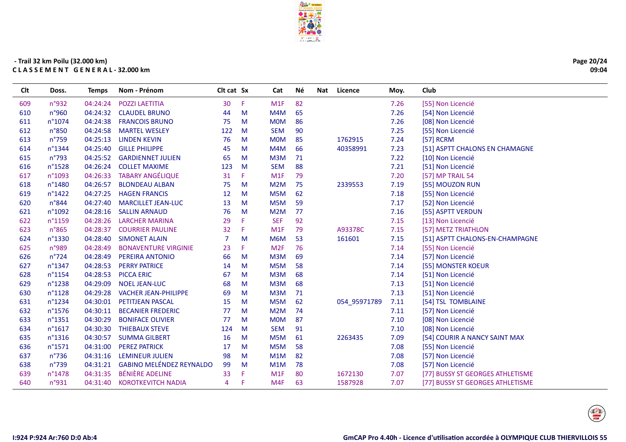

| Page 20/24 |
|------------|
| 09:04      |

| <b>CIt</b> | Doss.            | Temps    | Nom - Prénom                    | Cit cat Sx     |    | Cat             | Né. | Nat | Licence      | Moy. | Club                             |
|------------|------------------|----------|---------------------------------|----------------|----|-----------------|-----|-----|--------------|------|----------------------------------|
| 609        | n°932            | 04:24:24 | <b>POZZI LAETITIA</b>           | 30             | F  | M1F             | 82  |     |              | 7.26 | [55] Non Licencié                |
| 610        | n°960            | 04:24:32 | <b>CLAUDEL BRUNO</b>            | 44             | M  | M4M             | 65  |     |              | 7.26 | [54] Non Licencié                |
| 611        | n°1074           | 04:24:38 | <b>FRANCOIS BRUNO</b>           | 75             | M  | <b>MOM</b>      | 86  |     |              | 7.26 | [08] Non Licencié                |
| 612        | n°850            | 04:24:58 | <b>MARTEL WESLEY</b>            | 122            | M  | <b>SEM</b>      | 90  |     |              | 7.25 | [55] Non Licencié                |
| 613        | $n^{\circ}759$   | 04:25:13 | <b>LINDEN KEVIN</b>             | 76             | M  | <b>MOM</b>      | 85  |     | 1762915      | 7.24 | [57] RCRM                        |
| 614        | n°1344           | 04:25:40 | <b>GILLE PHILIPPE</b>           | 45             | M  | M4M             | 66  |     | 40358991     | 7.23 | [51] ASPTT CHALONS EN CHAMAGNE   |
| 615        | $n^{\circ}793$   | 04:25:52 | <b>GARDIENNET JULIEN</b>        | 65             | M  | M3M             | 71  |     |              | 7.22 | [10] Non Licencié                |
| 616        | n°1528           | 04:26:24 | <b>COLLET MAXIME</b>            | 123            | M  | <b>SEM</b>      | 88  |     |              | 7.21 | [51] Non Licencié                |
| 617        | n°1093           | 04:26:33 | <b>TABARY ANGÉLIQUE</b>         | 31             | F. | M1F             | 79  |     |              | 7.20 | [57] MP TRAIL 54                 |
| 618        | n°1480           | 04:26:57 | <b>BLONDEAU ALBAN</b>           | 75             | M  | M2M             | 75  |     | 2339553      | 7.19 | [55] MOUZON RUN                  |
| 619        | $n^{\circ}$ 1422 | 04:27:25 | <b>HAGEN FRANCIS</b>            | 12             | M  | M5M             | 62  |     |              | 7.18 | [55] Non Licencié                |
| 620        | n°844            | 04:27:40 | <b>MARCILLET JEAN-LUC</b>       | 13             | M  | M5M             | 59  |     |              | 7.17 | [52] Non Licencié                |
| 621        | n°1092           | 04:28:16 | <b>SALLIN ARNAUD</b>            | 76             | M  | M2M             | 77  |     |              | 7.16 | [55] ASPTT VERDUN                |
| 622        | n°1159           | 04:28:26 | <b>LARCHER MARINA</b>           | 29             | F  | <b>SEF</b>      | 92  |     |              | 7.15 | [13] Non Licencié                |
| 623        | $n^{\circ}865$   | 04:28:37 | <b>COURRIER PAULINE</b>         | 32             | Æ  | M1F             | 79  |     | A93378C      | 7.15 | [57] METZ TRIATHLON              |
| 624        | n°1330           | 04:28:40 | <b>SIMONET ALAIN</b>            | $\overline{7}$ | M  | M6M             | 53  |     | 161601       | 7.15 | [51] ASPTT CHALONS-EN-CHAMPAGNE  |
| 625        | n°989            | 04:28:49 | <b>BONAVENTURE VIRGINIE</b>     | 23             | F. | M <sub>2F</sub> | 76  |     |              | 7.14 | [55] Non Licencié                |
| 626        | $n^{\circ}$ 724  | 04:28:49 | PEREIRA ANTONIO                 | 66             | M  | M3M             | 69  |     |              | 7.14 | [57] Non Licencié                |
| 627        | $n^{\circ}$ 1347 | 04:28:53 | <b>PERRY PATRICE</b>            | 14             | M  | M5M             | 58  |     |              | 7.14 | [55] MONSTER KOEUR               |
| 628        | n°1154           | 04:28:53 | <b>PICCA ERIC</b>               | 67             | M  | M3M             | 68  |     |              | 7.14 | [51] Non Licencié                |
| 629        | n°1238           | 04:29:09 | <b>NOEL JEAN-LUC</b>            | 68             | M  | M3M             | 68  |     |              | 7.13 | [51] Non Licencié                |
| 630        | n°1128           | 04:29:28 | <b>VACHER JEAN-PHILIPPE</b>     | 69             | M  | M3M             | 71  |     |              | 7.13 | [51] Non Licencié                |
| 631        | n°1234           | 04:30:01 | PETITJEAN PASCAL                | 15             | M  | M5M             | 62  |     | 054 95971789 | 7.11 | [54] TSL TOMBLAINE               |
| 632        | $n^{\circ}$ 1576 | 04:30:11 | <b>BECANIER FREDERIC</b>        | 77             | M  | M2M             | 74  |     |              | 7.11 | [57] Non Licencié                |
| 633        | n°1351           | 04:30:29 | <b>BONIFACE OLIVIER</b>         | 77             | M  | <b>MOM</b>      | 87  |     |              | 7.10 | [08] Non Licencié                |
| 634        | n°1617           | 04:30:30 | <b>THIEBAUX STEVE</b>           | 124            | M  | <b>SEM</b>      | 91  |     |              | 7.10 | [08] Non Licencié                |
| 635        | $n^{\circ}$ 1316 | 04:30:57 | <b>SUMMA GILBERT</b>            | 16             | M  | M5M             | 61  |     | 2263435      | 7.09 | [54] COURIR A NANCY SAINT MAX    |
| 636        | n°1571           | 04:31:00 | <b>PEREZ PATRICK</b>            | 17             | M  | M5M             | 58  |     |              | 7.08 | [55] Non Licencié                |
| 637        | $n^{\circ}$ 736  | 04:31:16 | <b>LEMINEUR JULIEN</b>          | 98             | M  | M1M             | 82  |     |              | 7.08 | [57] Non Licencié                |
| 638        | $n^{\circ}739$   | 04:31:21 | <b>GABINO MELÉNDEZ REYNALDO</b> | 99             | M  | M1M             | 78  |     |              | 7.08 | [57] Non Licencié                |
| 639        | n°1478           | 04:31:35 | BÉNIÈRE ADELINE                 | 33             | F  | M1F             | 80  |     | 1672130      | 7.07 | [77] BUSSY ST GEORGES ATHLETISME |
| 640        | n°931            | 04:31:40 | <b>KOROTKEVITCH NADIA</b>       | 4              | F  | M4F             | 63  |     | 1587928      | 7.07 | [77] BUSSY ST GEORGES ATHLETISME |
|            |                  |          |                                 |                |    |                 |     |     |              |      |                                  |

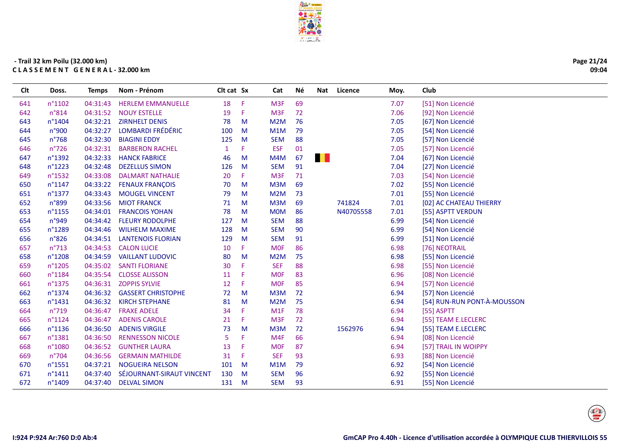

| Page 21/24 |
|------------|
| 09:04      |

| CIt | Doss.           | Temps    | Nom - Prénom              | Cit cat Sx   |              | Cat              | Né |      | Nat Licence | Moy. | Club                        |
|-----|-----------------|----------|---------------------------|--------------|--------------|------------------|----|------|-------------|------|-----------------------------|
| 641 | n°1102          | 04:31:43 | <b>HERLEM EMMANUELLE</b>  | 18           | Æ            | M <sub>3F</sub>  | 69 |      |             | 7.07 | [51] Non Licencié           |
| 642 | n°814           | 04:31:52 | <b>NOUY ESTELLE</b>       | 19           | Æ            | M <sub>3F</sub>  | 72 |      |             | 7.06 | [92] Non Licencié           |
| 643 | n°1404          | 04:32:21 | <b>ZIRNHELT DENIS</b>     | 78           | M            | M2M              | 76 |      |             | 7.05 | [67] Non Licencié           |
| 644 | n°900           | 04:32:27 | <b>LOMBARDI FRÉDÉRIC</b>  | 100          | M            | M1M              | 79 |      |             | 7.05 | [54] Non Licencié           |
| 645 | $n^{\circ}768$  | 04:32:30 | <b>BIAGINI EDDY</b>       | 125          | M            | <b>SEM</b>       | 88 |      |             | 7.05 | [57] Non Licencié           |
| 646 | $n^{\circ}$ 726 | 04:32:31 | <b>BARBERON RACHEL</b>    | $\mathbf{1}$ | F            | <b>ESF</b>       | 01 |      |             | 7.05 | [57] Non Licencié           |
| 647 | n°1392          | 04:32:33 | <b>HANCK FABRICE</b>      | 46           | M            | M4M              | 67 | a ka |             | 7.04 | [67] Non Licencié           |
| 648 | n°1223          | 04:32:48 | <b>DEZELLUS SIMON</b>     | 126          | M            | <b>SEM</b>       | 91 |      |             | 7.04 | [27] Non Licencié           |
| 649 | n°1532          | 04:33:08 | <b>DALMART NATHALIE</b>   | 20           | F            | M <sub>3F</sub>  | 71 |      |             | 7.03 | [54] Non Licencié           |
| 650 | n°1147          | 04:33:22 | <b>FENAUX FRANÇOIS</b>    | 70           | M            | M3M              | 69 |      |             | 7.02 | [55] Non Licencié           |
| 651 | n°1377          | 04:33:43 | <b>MOUGEL VINCENT</b>     | 79           | M            | M <sub>2</sub> M | 73 |      |             | 7.01 | [55] Non Licencié           |
| 652 | n°899           | 04:33:56 | <b>MIOT FRANCK</b>        | 71           | M            | M3M              | 69 |      | 741824      | 7.01 | [02] AC CHATEAU THIERRY     |
| 653 | n°1155          | 04:34:01 | <b>FRANCOIS YOHAN</b>     | 78           | M            | <b>MOM</b>       | 86 |      | N40705558   | 7.01 | [55] ASPTT VERDUN           |
| 654 | n°949           | 04:34:42 | <b>FLEURY RODOLPHE</b>    | 127          | M            | <b>SEM</b>       | 88 |      |             | 6.99 | [54] Non Licencié           |
| 655 | n°1289          | 04:34:46 | <b>WILHELM MAXIME</b>     | 128          | M            | <b>SEM</b>       | 90 |      |             | 6.99 | [54] Non Licencié           |
| 656 | n°826           | 04:34:51 | <b>LANTENOIS FLORIAN</b>  | 129          | M            | <b>SEM</b>       | 91 |      |             | 6.99 | [51] Non Licencié           |
| 657 | $n^{\circ}713$  | 04:34:53 | <b>CALON LUCIE</b>        | 10           | F            | <b>MOF</b>       | 86 |      |             | 6.98 | [76] NEOTRAIL               |
| 658 | n°1208          | 04:34:59 | <b>VAILLANT LUDOVIC</b>   | 80           | M            | M <sub>2</sub> M | 75 |      |             | 6.98 | [55] Non Licencié           |
| 659 | n°1205          | 04:35:02 | <b>SANTI FLORIANE</b>     | 30           | Æ            | <b>SEF</b>       | 88 |      |             | 6.98 | [55] Non Licencié           |
| 660 | n°1184          | 04:35:54 | <b>CLOSSE ALISSON</b>     | 11           | -F           | <b>MOF</b>       | 83 |      |             | 6.96 | [08] Non Licencié           |
| 661 | n°1375          | 04:36:31 | <b>ZOPPIS SYLVIE</b>      | 12           | F            | <b>MOF</b>       | 85 |      |             | 6.94 | [57] Non Licencié           |
| 662 | n°1374          | 04:36:32 | <b>GASSERT CHRISTOPHE</b> | 72           | M            | M3M              | 72 |      |             | 6.94 | [57] Non Licencié           |
| 663 | n°1431          | 04:36:32 | <b>KIRCH STEPHANE</b>     | 81           | M            | M <sub>2</sub> M | 75 |      |             | 6.94 | [54] RUN-RUN PONT-À-MOUSSON |
| 664 | $n^{\circ}719$  | 04:36:47 | <b>FRAXE ADELE</b>        | 34           | Æ            | M1F              | 78 |      |             | 6.94 | [55] ASPTT                  |
| 665 | $n^{\circ}1124$ | 04:36:47 | <b>ADENIS CAROLE</b>      | 21           | Æ            | M <sub>3F</sub>  | 72 |      |             | 6.94 | [55] TEAM E.LECLERC         |
| 666 | n°1136          | 04:36:50 | <b>ADENIS VIRGILE</b>     | 73           | M            | M <sub>3</sub> M | 72 |      | 1562976     | 6.94 | [55] TEAM E.LECLERC         |
| 667 | n°1381          | 04:36:50 | <b>RENNESSON NICOLE</b>   | 5            | F            | M4F              | 66 |      |             | 6.94 | [08] Non Licencié           |
| 668 | n°1080          | 04:36:52 | <b>GUNTHER LAURA</b>      | 13           | F            | <b>MOF</b>       | 87 |      |             | 6.94 | [57] TRAIL IN WOIPPY        |
| 669 | $n^{\circ}704$  | 04:36:56 | <b>GERMAIN MATHILDE</b>   | 31           | Æ            | <b>SEF</b>       | 93 |      |             | 6.93 | [88] Non Licencié           |
| 670 | n°1551          | 04:37:21 | <b>NOGUEIRA NELSON</b>    | 101          | $\mathsf{M}$ | M <sub>1</sub> M | 79 |      |             | 6.92 | [54] Non Licencié           |
| 671 | $n^{\circ}1411$ | 04:37:40 | SÉJOURNANT-SIRAUT VINCENT | 130          | M            | <b>SEM</b>       | 96 |      |             | 6.92 | [55] Non Licencié           |
| 672 | n°1409          | 04:37:40 | <b>DELVAL SIMON</b>       | 131          | $\mathsf{M}$ | <b>SEM</b>       | 93 |      |             | 6.91 | [55] Non Licencié           |
|     |                 |          |                           |              |              |                  |    |      |             |      |                             |

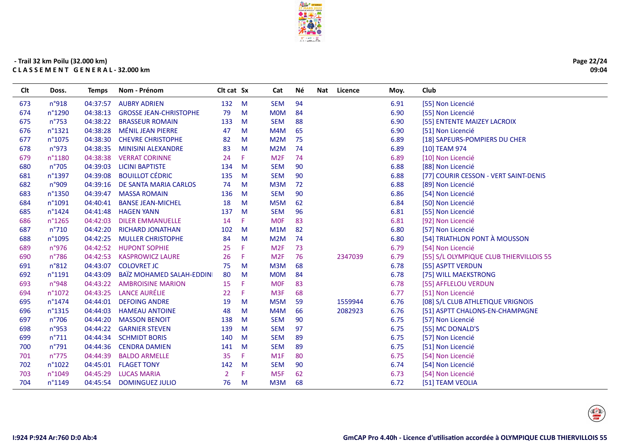

Page 22/24 09:04

| <b>CIt</b> | Doss.          | Temps    | Nom - Prénom                  | Cit cat Sx     |    | Cat             | Né. | Nat | Licence | Moy. | Club                                    |
|------------|----------------|----------|-------------------------------|----------------|----|-----------------|-----|-----|---------|------|-----------------------------------------|
| 673        | n°918          | 04:37:57 | <b>AUBRY ADRIEN</b>           | 132            | M  | <b>SEM</b>      | 94  |     |         | 6.91 | [55] Non Licencié                       |
| 674        | n°1290         | 04:38:13 | <b>GROSSE JEAN-CHRISTOPHE</b> | 79             | M  | <b>MOM</b>      | 84  |     |         | 6.90 | [55] Non Licencié                       |
| 675        | $n^{\circ}753$ | 04:38:22 | <b>BRASSEUR ROMAIN</b>        | 133            | M  | <b>SEM</b>      | 88  |     |         | 6.90 | [55] ENTENTE MAIZEY LACROIX             |
| 676        | n°1321         | 04:38:28 | <b>MÉNIL JEAN PIERRE</b>      | 47             | M  | M4M             | 65  |     |         | 6.90 | [51] Non Licencié                       |
| 677        | n°1075         | 04:38:30 | <b>CHEVRE CHRISTOPHE</b>      | 82             | M  | M2M             | 75  |     |         | 6.89 | [18] SAPEURS-POMPIERS DU CHER           |
| 678        | n°973          | 04:38:35 | <b>MINISINI ALEXANDRE</b>     | 83             | M  | M2M             | 74  |     |         | 6.89 | [10] TEAM 974                           |
| 679        | n°1180         | 04:38:38 | <b>VERRAT CORINNE</b>         | 24             | F  | M <sub>2F</sub> | 74  |     |         | 6.89 | [10] Non Licencié                       |
| 680        | n°705          | 04:39:03 | <b>LICINI BAPTISTE</b>        | 134            | M  | <b>SEM</b>      | 90  |     |         | 6.88 | [88] Non Licencié                       |
| 681        | n°1397         | 04:39:08 | <b>BOUILLOT CÉDRIC</b>        | 135            | M  | <b>SEM</b>      | 90  |     |         | 6.88 | [77] COURIR CESSON - VERT SAINT-DENIS   |
| 682        | n°909          | 04:39:16 | DE SANTA MARIA CARLOS         | 74             | M  | M3M             | 72  |     |         | 6.88 | [89] Non Licencié                       |
| 683        | n°1350         | 04:39:47 | <b>MASSA ROMAIN</b>           | 136            | M  | <b>SEM</b>      | 90  |     |         | 6.86 | [54] Non Licencié                       |
| 684        | n°1091         | 04:40:41 | <b>BANSE JEAN-MICHEL</b>      | 18             | M  | M5M             | 62  |     |         | 6.84 | [50] Non Licencié                       |
| 685        | n°1424         | 04:41:48 | <b>HAGEN YANN</b>             | 137            | M  | <b>SEM</b>      | 96  |     |         | 6.81 | [55] Non Licencié                       |
| 686        | n°1265         | 04:42:03 | <b>DILER EMMANUELLE</b>       | 14             | F  | <b>MOF</b>      | 83  |     |         | 6.81 | [92] Non Licencié                       |
| 687        | n°710          | 04:42:20 | <b>RICHARD JONATHAN</b>       | 102            | M  | M1M             | 82  |     |         | 6.80 | [57] Non Licencié                       |
| 688        | n°1095         | 04:42:25 | <b>MULLER CHRISTOPHE</b>      | 84             | M  | M2M             | 74  |     |         | 6.80 | [54] TRIATHLON PONT À MOUSSON           |
| 689        | n°976          | 04:42:52 | <b>HUPONT SOPHIE</b>          | 25             | F  | M <sub>2F</sub> | 73  |     |         | 6.79 | [54] Non Licencié                       |
| 690        | n°786          | 04:42:53 | <b>KASPROWICZ LAURE</b>       | 26             | F  | M <sub>2F</sub> | 76  |     | 2347039 | 6.79 | [55] S/L OLYMPIQUE CLUB THIERVILLOIS 55 |
| 691        | n°812          | 04:43:07 | <b>COLOVRET JC</b>            | 75             | M  | M3M             | 68  |     |         | 6.78 | [55] ASPTT VERDUN                       |
| 692        | n°1191         | 04:43:09 | BAÏZ MOHAMED SALAH-EDDINI     | 80             | M  | <b>MOM</b>      | 84  |     |         | 6.78 | [75] WILL MAEKSTRONG                    |
| 693        | n°948          | 04:43:22 | <b>AMBROISINE MARION</b>      | 15             | F  | <b>MOF</b>      | 83  |     |         | 6.78 | [55] AFFLELOU VERDUN                    |
| 694        | n°1072         | 04:43:25 | <b>LANCE AURÉLIE</b>          | 22             | F  | M <sub>3F</sub> | 68  |     |         | 6.77 | [51] Non Licencié                       |
| 695        | n°1474         | 04:44:01 | <b>DEFOING ANDRE</b>          | 19             | M  | M5M             | 59  |     | 1559944 | 6.76 | [08] S/L CLUB ATHLETIQUE VRIGNOIS       |
| 696        | n°1315         | 04:44:03 | <b>HAMEAU ANTOINE</b>         | 48             | M  | M4M             | 66  |     | 2082923 | 6.76 | [51] ASPTT CHALONS-EN-CHAMPAGNE         |
| 697        | n°706          | 04:44:20 | <b>MASSON BENOIT</b>          | 138            | M  | <b>SEM</b>      | 90  |     |         | 6.75 | [57] Non Licencié                       |
| 698        | n°953          | 04:44:22 | <b>GARNIER STEVEN</b>         | 139            | M  | <b>SEM</b>      | 97  |     |         | 6.75 | [55] MC DONALD'S                        |
| 699        | $n^{\circ}711$ | 04:44:34 | <b>SCHMIDT BORIS</b>          | 140            | M  | <b>SEM</b>      | 89  |     |         | 6.75 | [57] Non Licencié                       |
| 700        | n°791          | 04:44:36 | <b>CENDRA DAMIEN</b>          | 141            | M  | <b>SEM</b>      | 89  |     |         | 6.75 | [51] Non Licencié                       |
| 701        | $n^{\circ}775$ | 04:44:39 | <b>BALDO ARMELLE</b>          | 35             | F. | M1F             | 80  |     |         | 6.75 | [54] Non Licencié                       |
| 702        | n°1022         |          | 04:45:01 FLAGET TONY          | 142            | M  | <b>SEM</b>      | 90  |     |         | 6.74 | [54] Non Licencié                       |
| 703        | n°1049         | 04:45:29 | <b>LUCAS MARIA</b>            | $\overline{2}$ | F  | M <sub>5F</sub> | 62  |     |         | 6.73 | [54] Non Licencié                       |
| 704        | n°1149         | 04:45:54 | <b>DOMINGUEZ JULIO</b>        | 76             | M  | M3M             | 68  |     |         | 6.72 | [51] TEAM VEOLIA                        |
|            |                |          |                               |                |    |                 |     |     |         |      |                                         |

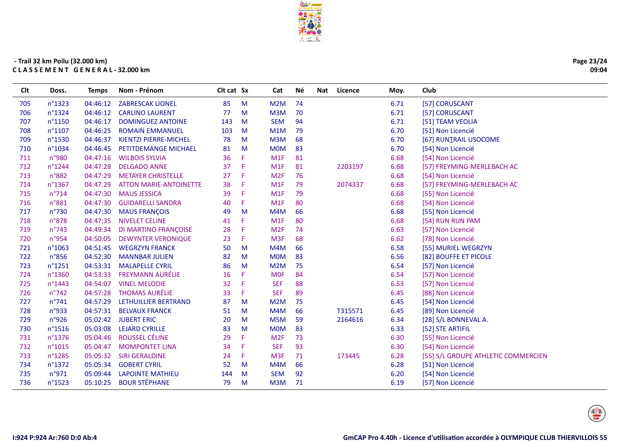

| Page 23/24 |
|------------|
| 09:04      |

| Clt | Doss.           | Temps    | Nom - Prénom                  | Clt cat Sx |    | Cat              | Νé | Nat | Licence | Moy. | Club                                |
|-----|-----------------|----------|-------------------------------|------------|----|------------------|----|-----|---------|------|-------------------------------------|
| 705 | n°1323          | 04:46:12 | <b>ZABRESCAK LIONEL</b>       | 85         | M  | M2M              | 74 |     |         | 6.71 | [57] CORUSCANT                      |
| 706 | n°1324          | 04:46:12 | <b>CARLINO LAURENT</b>        | 77         | M  | M3M              | 70 |     |         | 6.71 | [57] CORUSCANT                      |
| 707 | n°1150          | 04:46:17 | <b>DOMINGUEZ ANTOINE</b>      | 143        | M  | <b>SEM</b>       | 94 |     |         | 6.71 | [51] TEAM VEOLIA                    |
| 708 | n°1107          | 04:46:25 | <b>ROMAIN EMMANUEL</b>        | 103        | M  | M1M              | 79 |     |         | 6.70 | [51] Non Licencié                   |
| 709 | n°1530          | 04:46:37 | <b>KIENTZI PIERRE-MICHEL</b>  | 78         | M  | M3M              | 68 |     |         | 6.70 | [67] RUNIRAIL USOCOME               |
| 710 | n°1034          | 04:46:45 | <b>PETITDEMANGE MICHAEL</b>   | 81         | M  | <b>MOM</b>       | 83 |     |         | 6.70 | [54] Non Licencié                   |
| 711 | n°980           | 04:47:16 | <b>WILBOIS SYLVIA</b>         | 36         | F. | M1F              | 81 |     |         | 6.68 | [54] Non Licencié                   |
| 712 | n°1244          | 04:47:28 | <b>DELGADO ANNE</b>           | 37         | F  | M <sub>1</sub> F | 81 |     | 2203197 | 6.68 | [57] FREYMING-MERLEBACH AC          |
| 713 | n°882           | 04:47:29 | <b>METAYER CHRISTELLE</b>     | 27         | F  | M <sub>2F</sub>  | 76 |     |         | 6.68 | [54] Non Licencié                   |
| 714 | n°1367          | 04:47:29 | <b>ATTON MARIE-ANTOINETTE</b> | 38         | F  | M1F              | 79 |     | 2074337 | 6.68 | [57] FREYMING-MERLEBACH AC          |
| 715 | $n^{\circ}714$  | 04:47:30 | <b>MAUS JESSICA</b>           | 39         | F  | M1F              | 79 |     |         | 6.68 | [55] Non Licencié                   |
| 716 | n°881           | 04:47:30 | <b>GUIDARELLI SANDRA</b>      | 40         | F. | M1F              | 80 |     |         | 6.68 | [54] Non Licencié                   |
| 717 | n°730           | 04:47:30 | <b>MAUS FRANÇOIS</b>          | 49         | M  | M4M              | 66 |     |         | 6.68 | [55] Non Licencié                   |
| 718 | n°878           | 04:47:35 | <b>NIVELET CELINE</b>         | 41         | F. | M1F              | 80 |     |         | 6.68 | [54] RUN RUN PAM                    |
| 719 | $n^{\circ}743$  | 04:49:34 | <b>DI MARTINO FRANÇOISE</b>   | 28         | Æ  | M <sub>2F</sub>  | 74 |     |         | 6.63 | [57] Non Licencié                   |
| 720 | n°954           | 04:50:05 | <b>DEWYNTER VERONIQUE</b>     | 23         | F. | M <sub>3F</sub>  | 68 |     |         | 6.62 | [78] Non Licencié                   |
| 721 | n°1063          | 04:51:45 | <b>WEGRZYN FRANCK</b>         | 50         | M  | M4M              | 66 |     |         | 6.58 | [55] MURIEL WEGRZYN                 |
| 722 | n°856           | 04:52:30 | <b>MANNBAR JULIEN</b>         | 82         | M  | <b>MOM</b>       | 83 |     |         | 6.56 | [82] BOUFFE ET PICOLE               |
| 723 | $n^{\circ}1251$ | 04:53:31 | <b>MALAPELLE CYRIL</b>        | 86         | M  | M <sub>2</sub> M | 75 |     |         | 6.54 | [57] Non Licencié                   |
| 724 | n°1360          | 04:53:33 | <b>FREYMANN AURÉLIE</b>       | 16         | F  | <b>MOF</b>       | 84 |     |         | 6.54 | [57] Non Licencié                   |
| 725 | n°1443          | 04:54:07 | <b>VINEL MELODIE</b>          | 32         | F  | <b>SEF</b>       | 88 |     |         | 6.53 | [57] Non Licencié                   |
| 726 | n°742           | 04:57:28 | <b>THOMAS AURÉLIE</b>         | 33         | F  | <b>SEF</b>       | 89 |     |         | 6.45 | [88] Non Licencié                   |
| 727 | $n^{\circ}741$  | 04:57:29 | LETHUILLIER BERTRAND          | 87         | M  | M <sub>2</sub> M | 75 |     |         | 6.45 | [54] Non Licencié                   |
| 728 | n°933           | 04:57:31 | <b>BELVAUX FRANCK</b>         | 51         | M  | M4M              | 66 |     | T315571 | 6.45 | [89] Non Licencié                   |
| 729 | n°926           | 05:02:42 | <b>JUBERT ERIC</b>            | 20         | M  | M5M              | 59 |     | 2164616 | 6.34 | [28] S/L BONNEVAL A.                |
| 730 | n°1516          | 05:03:08 | <b>LEJARD CYRILLE</b>         | 83         | M  | <b>MOM</b>       | 83 |     |         | 6.33 | [52] STE ARTIFIL                    |
| 731 | n°1376          | 05:04:46 | ROUSSEL CÉLINE                | 29         | F  | M <sub>2F</sub>  | 73 |     |         | 6.30 | [55] Non Licencié                   |
| 732 | n°1015          | 05:04:47 | <b>MOMPONTET LINA</b>         | 34         | F  | <b>SEF</b>       | 93 |     |         | 6.30 | [54] Non Licencié                   |
| 733 | n°1285          | 05:05:32 | <b>SIRI GERALDINE</b>         | 24         | F. | M <sub>3F</sub>  | 71 |     | 173445  | 6.28 | [55] S/L GROUPE ATHLETIC COMMERCIEN |
| 734 | n°1372          | 05:05:34 | <b>GOBERT CYRIL</b>           | 52         | M  | M4M              | 66 |     |         | 6.28 | [51] Non Licencié                   |
| 735 | n°971           | 05:09:44 | <b>LAPOINTE MATHIEU</b>       | 144        | M  | <b>SEM</b>       | 92 |     |         | 6.20 | [54] Non Licencié                   |
| 736 | n°1523          | 05:10:25 | <b>BOUR STÉPHANE</b>          | 79         | M  | M3M              | 71 |     |         | 6.19 | [57] Non Licencié                   |
|     |                 |          |                               |            |    |                  |    |     |         |      |                                     |